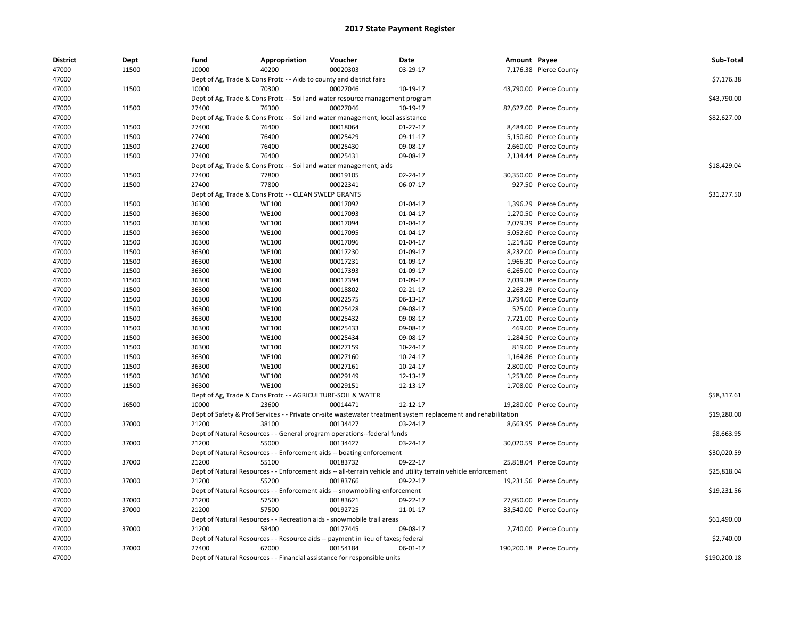| <b>District</b> | Dept  | Fund  | Appropriation                                                                                                 | Voucher  | Date       | Amount Payee |                          | Sub-Total    |
|-----------------|-------|-------|---------------------------------------------------------------------------------------------------------------|----------|------------|--------------|--------------------------|--------------|
| 47000           | 11500 | 10000 | 40200                                                                                                         | 00020303 | 03-29-17   |              | 7,176.38 Pierce County   |              |
| 47000           |       |       | Dept of Ag, Trade & Cons Protc - - Aids to county and district fairs                                          |          |            |              |                          | \$7,176.38   |
| 47000           | 11500 | 10000 | 70300                                                                                                         | 00027046 | 10-19-17   |              | 43,790.00 Pierce County  |              |
| 47000           |       |       | Dept of Ag, Trade & Cons Protc - - Soil and water resource management program                                 |          |            |              |                          | \$43,790.00  |
| 47000           | 11500 | 27400 | 76300                                                                                                         | 00027046 | 10-19-17   |              | 82,627.00 Pierce County  |              |
| 47000           |       |       | Dept of Ag, Trade & Cons Protc - - Soil and water management; local assistance                                |          |            |              |                          | \$82,627.00  |
| 47000           | 11500 | 27400 | 76400                                                                                                         | 00018064 | $01-27-17$ |              | 8,484.00 Pierce County   |              |
| 47000           | 11500 | 27400 | 76400                                                                                                         | 00025429 | 09-11-17   |              | 5,150.60 Pierce County   |              |
| 47000           | 11500 | 27400 | 76400                                                                                                         | 00025430 | 09-08-17   |              | 2,660.00 Pierce County   |              |
| 47000           | 11500 | 27400 | 76400                                                                                                         | 00025431 | 09-08-17   |              | 2,134.44 Pierce County   |              |
| 47000           |       |       | Dept of Ag, Trade & Cons Protc - - Soil and water management; aids                                            |          |            |              |                          | \$18,429.04  |
| 47000           | 11500 | 27400 | 77800                                                                                                         | 00019105 | 02-24-17   |              | 30,350.00 Pierce County  |              |
| 47000           | 11500 | 27400 | 77800                                                                                                         | 00022341 | 06-07-17   |              | 927.50 Pierce County     |              |
| 47000           |       |       | Dept of Ag, Trade & Cons Protc - - CLEAN SWEEP GRANTS                                                         |          |            |              |                          | \$31,277.50  |
| 47000           | 11500 | 36300 | <b>WE100</b>                                                                                                  | 00017092 | 01-04-17   |              | 1,396.29 Pierce County   |              |
| 47000           | 11500 | 36300 | <b>WE100</b>                                                                                                  | 00017093 | 01-04-17   |              | 1,270.50 Pierce County   |              |
| 47000           | 11500 | 36300 | <b>WE100</b>                                                                                                  | 00017094 | 01-04-17   |              | 2,079.39 Pierce County   |              |
| 47000           | 11500 | 36300 | <b>WE100</b>                                                                                                  | 00017095 | 01-04-17   |              | 5,052.60 Pierce County   |              |
| 47000           | 11500 | 36300 | <b>WE100</b>                                                                                                  | 00017096 | 01-04-17   |              | 1,214.50 Pierce County   |              |
| 47000           | 11500 | 36300 | <b>WE100</b>                                                                                                  | 00017230 | 01-09-17   |              | 8,232.00 Pierce County   |              |
| 47000           | 11500 | 36300 | <b>WE100</b>                                                                                                  | 00017231 | 01-09-17   |              | 1,966.30 Pierce County   |              |
| 47000           | 11500 | 36300 | <b>WE100</b>                                                                                                  | 00017393 | 01-09-17   |              | 6,265.00 Pierce County   |              |
| 47000           | 11500 | 36300 | <b>WE100</b>                                                                                                  | 00017394 | 01-09-17   |              | 7,039.38 Pierce County   |              |
| 47000           | 11500 | 36300 | <b>WE100</b>                                                                                                  | 00018802 | 02-21-17   |              | 2,263.29 Pierce County   |              |
| 47000           | 11500 | 36300 | <b>WE100</b>                                                                                                  | 00022575 | 06-13-17   |              | 3,794.00 Pierce County   |              |
| 47000           | 11500 | 36300 | <b>WE100</b>                                                                                                  | 00025428 | 09-08-17   |              | 525.00 Pierce County     |              |
| 47000           | 11500 | 36300 | <b>WE100</b>                                                                                                  | 00025432 | 09-08-17   |              | 7,721.00 Pierce County   |              |
| 47000           | 11500 | 36300 | <b>WE100</b>                                                                                                  | 00025433 | 09-08-17   |              | 469.00 Pierce County     |              |
| 47000           | 11500 | 36300 | <b>WE100</b>                                                                                                  | 00025434 | 09-08-17   |              | 1,284.50 Pierce County   |              |
| 47000           | 11500 | 36300 | <b>WE100</b>                                                                                                  | 00027159 | 10-24-17   |              | 819.00 Pierce County     |              |
| 47000           | 11500 | 36300 | <b>WE100</b>                                                                                                  | 00027160 | 10-24-17   |              | 1,164.86 Pierce County   |              |
| 47000           | 11500 | 36300 | <b>WE100</b>                                                                                                  | 00027161 | 10-24-17   |              | 2,800.00 Pierce County   |              |
| 47000           | 11500 | 36300 | <b>WE100</b>                                                                                                  | 00029149 | 12-13-17   |              | 1,253.00 Pierce County   |              |
| 47000           | 11500 | 36300 | <b>WE100</b>                                                                                                  | 00029151 | 12-13-17   |              | 1,708.00 Pierce County   |              |
| 47000           |       |       | Dept of Ag, Trade & Cons Protc - - AGRICULTURE-SOIL & WATER                                                   |          |            |              |                          | \$58,317.61  |
| 47000           | 16500 | 10000 | 23600                                                                                                         | 00014471 | 12-12-17   |              | 19,280.00 Pierce County  |              |
| 47000           |       |       | Dept of Safety & Prof Services - - Private on-site wastewater treatment system replacement and rehabilitation |          |            |              |                          | \$19,280.00  |
| 47000           | 37000 | 21200 | 38100                                                                                                         | 00134427 | 03-24-17   |              | 8,663.95 Pierce County   |              |
| 47000           |       |       | Dept of Natural Resources - - General program operations--federal funds                                       |          |            |              |                          | \$8,663.95   |
| 47000           | 37000 | 21200 | 55000                                                                                                         | 00134427 | 03-24-17   |              | 30,020.59 Pierce County  |              |
| 47000           |       |       | Dept of Natural Resources - - Enforcement aids -- boating enforcement                                         |          |            |              |                          | \$30,020.59  |
| 47000           | 37000 | 21200 | 55100                                                                                                         | 00183732 | 09-22-17   |              | 25,818.04 Pierce County  |              |
| 47000           |       |       | Dept of Natural Resources - - Enforcement aids -- all-terrain vehicle and utility terrain vehicle enforcement |          |            |              |                          | \$25,818.04  |
| 47000           | 37000 | 21200 | 55200                                                                                                         | 00183766 | 09-22-17   |              | 19,231.56 Pierce County  |              |
| 47000           |       |       | Dept of Natural Resources - - Enforcement aids -- snowmobiling enforcement                                    |          |            |              |                          | \$19,231.56  |
| 47000           | 37000 | 21200 | 57500                                                                                                         | 00183621 | 09-22-17   |              | 27,950.00 Pierce County  |              |
| 47000           | 37000 | 21200 | 57500                                                                                                         | 00192725 | 11-01-17   |              | 33,540.00 Pierce County  |              |
| 47000           |       |       | Dept of Natural Resources - - Recreation aids - snowmobile trail areas                                        |          |            |              |                          | \$61,490.00  |
| 47000           | 37000 | 21200 | 58400                                                                                                         | 00177445 | 09-08-17   |              | 2,740.00 Pierce County   |              |
| 47000           |       |       | Dept of Natural Resources - - Resource aids -- payment in lieu of taxes; federal                              |          |            |              |                          | \$2,740.00   |
| 47000           | 37000 | 27400 | 67000                                                                                                         | 00154184 | 06-01-17   |              | 190,200.18 Pierce County |              |
| 47000           |       |       | Dept of Natural Resources - - Financial assistance for responsible units                                      |          |            |              |                          | \$190,200.18 |
|                 |       |       |                                                                                                               |          |            |              |                          |              |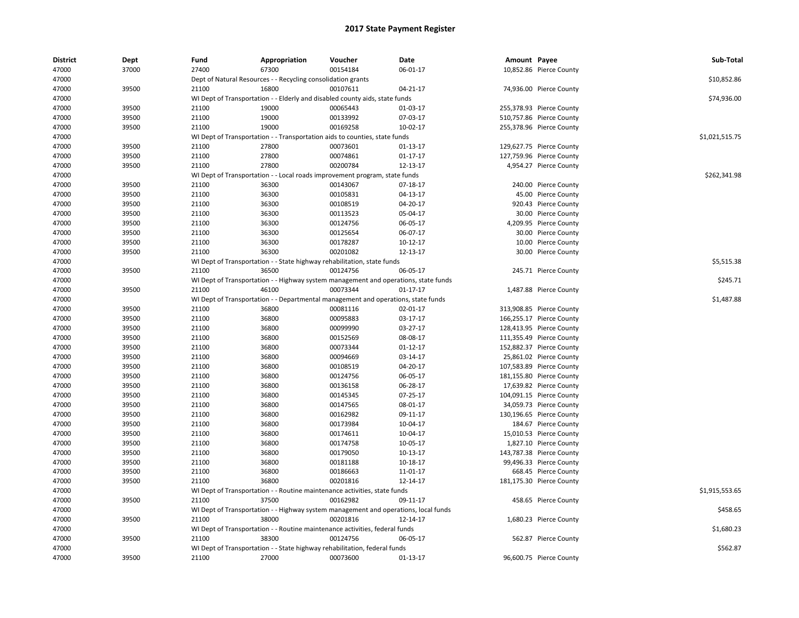| <b>District</b> | Dept  | Fund  | Appropriation                                                                       | Voucher  | Date           | Amount Payee |                          | Sub-Total      |
|-----------------|-------|-------|-------------------------------------------------------------------------------------|----------|----------------|--------------|--------------------------|----------------|
| 47000           | 37000 | 27400 | 67300                                                                               | 00154184 | 06-01-17       |              | 10,852.86 Pierce County  |                |
| 47000           |       |       | Dept of Natural Resources - - Recycling consolidation grants                        |          |                |              |                          | \$10,852.86    |
| 47000           | 39500 | 21100 | 16800                                                                               | 00107611 | 04-21-17       |              | 74,936.00 Pierce County  |                |
| 47000           |       |       | WI Dept of Transportation - - Elderly and disabled county aids, state funds         |          |                |              |                          | \$74,936.00    |
| 47000           | 39500 | 21100 | 19000                                                                               | 00065443 | 01-03-17       |              | 255,378.93 Pierce County |                |
| 47000           | 39500 | 21100 | 19000                                                                               | 00133992 | 07-03-17       |              | 510,757.86 Pierce County |                |
| 47000           | 39500 | 21100 | 19000                                                                               | 00169258 | 10-02-17       |              | 255,378.96 Pierce County |                |
| 47000           |       |       | WI Dept of Transportation - - Transportation aids to counties, state funds          |          |                |              |                          | \$1,021,515.75 |
| 47000           | 39500 | 21100 | 27800                                                                               | 00073601 | 01-13-17       |              | 129,627.75 Pierce County |                |
| 47000           | 39500 | 21100 | 27800                                                                               | 00074861 | 01-17-17       |              | 127,759.96 Pierce County |                |
| 47000           | 39500 | 21100 | 27800                                                                               | 00200784 | 12-13-17       |              | 4,954.27 Pierce County   |                |
| 47000           |       |       | WI Dept of Transportation - - Local roads improvement program, state funds          |          |                |              |                          | \$262,341.98   |
| 47000           | 39500 | 21100 | 36300                                                                               | 00143067 | 07-18-17       |              | 240.00 Pierce County     |                |
| 47000           | 39500 | 21100 | 36300                                                                               | 00105831 | 04-13-17       |              | 45.00 Pierce County      |                |
| 47000           | 39500 | 21100 | 36300                                                                               | 00108519 | 04-20-17       |              | 920.43 Pierce County     |                |
| 47000           | 39500 | 21100 | 36300                                                                               | 00113523 | 05-04-17       |              | 30.00 Pierce County      |                |
| 47000           | 39500 | 21100 | 36300                                                                               | 00124756 | 06-05-17       |              | 4,209.95 Pierce County   |                |
| 47000           | 39500 | 21100 | 36300                                                                               | 00125654 | 06-07-17       |              | 30.00 Pierce County      |                |
| 47000           | 39500 | 21100 | 36300                                                                               | 00178287 | 10-12-17       |              | 10.00 Pierce County      |                |
| 47000           | 39500 | 21100 | 36300                                                                               | 00201082 | 12-13-17       |              | 30.00 Pierce County      |                |
| 47000           |       |       | WI Dept of Transportation - - State highway rehabilitation, state funds             |          |                |              |                          | \$5,515.38     |
| 47000           | 39500 | 21100 | 36500                                                                               | 00124756 | 06-05-17       |              | 245.71 Pierce County     |                |
| 47000           |       |       | WI Dept of Transportation - - Highway system management and operations, state funds |          |                |              |                          | \$245.71       |
| 47000           | 39500 | 21100 | 46100                                                                               | 00073344 | $01 - 17 - 17$ |              |                          |                |
|                 |       |       |                                                                                     |          |                |              | 1,487.88 Pierce County   | \$1,487.88     |
| 47000           |       |       | WI Dept of Transportation - - Departmental management and operations, state funds   |          |                |              |                          |                |
| 47000           | 39500 | 21100 | 36800                                                                               | 00081116 | 02-01-17       |              | 313,908.85 Pierce County |                |
| 47000           | 39500 | 21100 | 36800                                                                               | 00095883 | 03-17-17       |              | 166,255.17 Pierce County |                |
| 47000           | 39500 | 21100 | 36800                                                                               | 00099990 | 03-27-17       |              | 128,413.95 Pierce County |                |
| 47000           | 39500 | 21100 | 36800                                                                               | 00152569 | 08-08-17       |              | 111,355.49 Pierce County |                |
| 47000           | 39500 | 21100 | 36800                                                                               | 00073344 | 01-12-17       |              | 152,882.37 Pierce County |                |
| 47000           | 39500 | 21100 | 36800                                                                               | 00094669 | 03-14-17       |              | 25,861.02 Pierce County  |                |
| 47000           | 39500 | 21100 | 36800                                                                               | 00108519 | 04-20-17       |              | 107,583.89 Pierce County |                |
| 47000           | 39500 | 21100 | 36800                                                                               | 00124756 | 06-05-17       |              | 181,155.80 Pierce County |                |
| 47000           | 39500 | 21100 | 36800                                                                               | 00136158 | 06-28-17       |              | 17,639.82 Pierce County  |                |
| 47000           | 39500 | 21100 | 36800                                                                               | 00145345 | 07-25-17       |              | 104,091.15 Pierce County |                |
| 47000           | 39500 | 21100 | 36800                                                                               | 00147565 | 08-01-17       |              | 34,059.73 Pierce County  |                |
| 47000           | 39500 | 21100 | 36800                                                                               | 00162982 | 09-11-17       |              | 130,196.65 Pierce County |                |
| 47000           | 39500 | 21100 | 36800                                                                               | 00173984 | 10-04-17       |              | 184.67 Pierce County     |                |
| 47000           | 39500 | 21100 | 36800                                                                               | 00174611 | 10-04-17       |              | 15,010.53 Pierce County  |                |
| 47000           | 39500 | 21100 | 36800                                                                               | 00174758 | 10-05-17       |              | 1,827.10 Pierce County   |                |
| 47000           | 39500 | 21100 | 36800                                                                               | 00179050 | 10-13-17       |              | 143,787.38 Pierce County |                |
| 47000           | 39500 | 21100 | 36800                                                                               | 00181188 | 10-18-17       |              | 99,496.33 Pierce County  |                |
| 47000           | 39500 | 21100 | 36800                                                                               | 00186663 | 11-01-17       |              | 668.45 Pierce County     |                |
| 47000           | 39500 | 21100 | 36800                                                                               | 00201816 | 12-14-17       |              | 181,175.30 Pierce County |                |
| 47000           |       |       | WI Dept of Transportation - - Routine maintenance activities, state funds           |          |                |              |                          | \$1,915,553.65 |
| 47000           | 39500 | 21100 | 37500                                                                               | 00162982 | 09-11-17       |              | 458.65 Pierce County     |                |
| 47000           |       |       | WI Dept of Transportation - - Highway system management and operations, local funds |          |                |              |                          | \$458.65       |
| 47000           | 39500 | 21100 | 38000                                                                               | 00201816 | 12-14-17       |              | 1,680.23 Pierce County   |                |
| 47000           |       |       | WI Dept of Transportation - - Routine maintenance activities, federal funds         |          |                |              |                          | \$1,680.23     |
| 47000           | 39500 | 21100 | 38300                                                                               | 00124756 | 06-05-17       |              | 562.87 Pierce County     |                |
| 47000           |       |       | WI Dept of Transportation - - State highway rehabilitation, federal funds           |          |                |              |                          | \$562.87       |
| 47000           | 39500 | 21100 | 27000                                                                               | 00073600 | $01-13-17$     |              | 96,600.75 Pierce County  |                |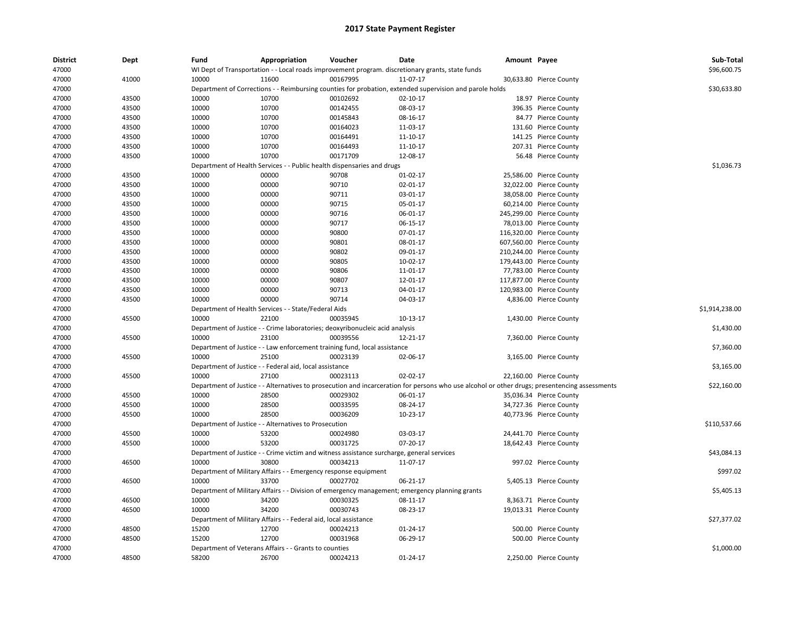| <b>District</b> | Dept  | Fund  | Appropriation                                                    | Voucher                                                                                   | Date                                                                                                                                          | Amount Payee |                          | Sub-Total      |
|-----------------|-------|-------|------------------------------------------------------------------|-------------------------------------------------------------------------------------------|-----------------------------------------------------------------------------------------------------------------------------------------------|--------------|--------------------------|----------------|
| 47000           |       |       |                                                                  |                                                                                           | WI Dept of Transportation - - Local roads improvement program. discretionary grants, state funds                                              |              |                          | \$96,600.75    |
| 47000           | 41000 | 10000 | 11600                                                            | 00167995                                                                                  | 11-07-17                                                                                                                                      |              | 30,633.80 Pierce County  |                |
| 47000           |       |       |                                                                  |                                                                                           | Department of Corrections - - Reimbursing counties for probation, extended supervision and parole holds                                       |              |                          | \$30,633.80    |
| 47000           | 43500 | 10000 | 10700                                                            | 00102692                                                                                  | $02 - 10 - 17$                                                                                                                                |              | 18.97 Pierce County      |                |
| 47000           | 43500 | 10000 | 10700                                                            | 00142455                                                                                  | 08-03-17                                                                                                                                      |              | 396.35 Pierce County     |                |
| 47000           | 43500 | 10000 | 10700                                                            | 00145843                                                                                  | 08-16-17                                                                                                                                      |              | 84.77 Pierce County      |                |
| 47000           | 43500 | 10000 | 10700                                                            | 00164023                                                                                  | 11-03-17                                                                                                                                      |              | 131.60 Pierce County     |                |
| 47000           | 43500 | 10000 | 10700                                                            | 00164491                                                                                  | 11-10-17                                                                                                                                      |              | 141.25 Pierce County     |                |
| 47000           | 43500 | 10000 | 10700                                                            | 00164493                                                                                  | 11-10-17                                                                                                                                      |              | 207.31 Pierce County     |                |
| 47000           | 43500 | 10000 | 10700                                                            | 00171709                                                                                  | 12-08-17                                                                                                                                      |              | 56.48 Pierce County      |                |
| 47000           |       |       |                                                                  | Department of Health Services - - Public health dispensaries and drugs                    |                                                                                                                                               |              |                          | \$1,036.73     |
| 47000           | 43500 | 10000 | 00000                                                            | 90708                                                                                     | $01-02-17$                                                                                                                                    |              | 25,586.00 Pierce County  |                |
| 47000           | 43500 | 10000 | 00000                                                            | 90710                                                                                     | 02-01-17                                                                                                                                      |              | 32,022.00 Pierce County  |                |
| 47000           | 43500 | 10000 | 00000                                                            | 90711                                                                                     | 03-01-17                                                                                                                                      |              | 38,058.00 Pierce County  |                |
| 47000           | 43500 | 10000 | 00000                                                            | 90715                                                                                     | 05-01-17                                                                                                                                      |              | 60,214.00 Pierce County  |                |
| 47000           | 43500 | 10000 | 00000                                                            | 90716                                                                                     | 06-01-17                                                                                                                                      |              | 245,299.00 Pierce County |                |
| 47000           | 43500 | 10000 | 00000                                                            | 90717                                                                                     | 06-15-17                                                                                                                                      |              | 78,013.00 Pierce County  |                |
| 47000           | 43500 | 10000 | 00000                                                            | 90800                                                                                     | 07-01-17                                                                                                                                      |              | 116,320.00 Pierce County |                |
| 47000           | 43500 | 10000 | 00000                                                            | 90801                                                                                     | 08-01-17                                                                                                                                      |              | 607,560.00 Pierce County |                |
| 47000           | 43500 | 10000 | 00000                                                            | 90802                                                                                     | 09-01-17                                                                                                                                      |              | 210,244.00 Pierce County |                |
| 47000           | 43500 | 10000 | 00000                                                            | 90805                                                                                     | 10-02-17                                                                                                                                      |              | 179,443.00 Pierce County |                |
| 47000           | 43500 | 10000 | 00000                                                            | 90806                                                                                     | 11-01-17                                                                                                                                      |              | 77,783.00 Pierce County  |                |
| 47000           | 43500 | 10000 | 00000                                                            | 90807                                                                                     | 12-01-17                                                                                                                                      |              | 117,877.00 Pierce County |                |
| 47000           | 43500 | 10000 | 00000                                                            | 90713                                                                                     | 04-01-17                                                                                                                                      |              | 120,983.00 Pierce County |                |
| 47000           | 43500 | 10000 | 00000                                                            | 90714                                                                                     | 04-03-17                                                                                                                                      |              | 4,836.00 Pierce County   |                |
| 47000           |       |       | Department of Health Services - - State/Federal Aids             |                                                                                           |                                                                                                                                               |              |                          | \$1,914,238.00 |
| 47000           | 45500 | 10000 | 22100                                                            | 00035945                                                                                  | 10-13-17                                                                                                                                      |              | 1,430.00 Pierce County   |                |
| 47000           |       |       |                                                                  | Department of Justice - - Crime laboratories; deoxyribonucleic acid analysis              |                                                                                                                                               |              |                          | \$1,430.00     |
| 47000           | 45500 | 10000 | 23100                                                            | 00039556                                                                                  | 12-21-17                                                                                                                                      |              | 7,360.00 Pierce County   |                |
| 47000           |       |       |                                                                  | Department of Justice - - Law enforcement training fund, local assistance                 |                                                                                                                                               |              |                          | \$7,360.00     |
| 47000           | 45500 | 10000 | 25100                                                            | 00023139                                                                                  | 02-06-17                                                                                                                                      |              | 3,165.00 Pierce County   |                |
| 47000           |       |       | Department of Justice - - Federal aid, local assistance          |                                                                                           |                                                                                                                                               |              |                          | \$3,165.00     |
| 47000           | 45500 | 10000 | 27100                                                            | 00023113                                                                                  | 02-02-17                                                                                                                                      |              | 22,160.00 Pierce County  |                |
| 47000           |       |       |                                                                  |                                                                                           | Department of Justice - - Alternatives to prosecution and incarceration for persons who use alcohol or other drugs; presentencing assessments |              |                          | \$22,160.00    |
| 47000           | 45500 | 10000 | 28500                                                            | 00029302                                                                                  | 06-01-17                                                                                                                                      |              | 35,036.34 Pierce County  |                |
| 47000           | 45500 | 10000 | 28500                                                            | 00033595                                                                                  | 08-24-17                                                                                                                                      |              | 34,727.36 Pierce County  |                |
| 47000           | 45500 | 10000 | 28500                                                            | 00036209                                                                                  | 10-23-17                                                                                                                                      |              | 40,773.96 Pierce County  |                |
| 47000           |       |       | Department of Justice - - Alternatives to Prosecution            |                                                                                           |                                                                                                                                               |              |                          | \$110,537.66   |
| 47000           | 45500 | 10000 | 53200                                                            | 00024980                                                                                  | 03-03-17                                                                                                                                      |              | 24,441.70 Pierce County  |                |
| 47000           | 45500 | 10000 | 53200                                                            | 00031725                                                                                  | $07 - 20 - 17$                                                                                                                                |              | 18,642.43 Pierce County  |                |
| 47000           |       |       |                                                                  | Department of Justice - - Crime victim and witness assistance surcharge, general services |                                                                                                                                               |              |                          | \$43,084.13    |
| 47000           | 46500 | 10000 | 30800                                                            | 00034213                                                                                  | 11-07-17                                                                                                                                      |              | 997.02 Pierce County     |                |
| 47000           |       |       | Department of Military Affairs - - Emergency response equipment  |                                                                                           |                                                                                                                                               |              |                          | \$997.02       |
| 47000           | 46500 | 10000 | 33700                                                            | 00027702                                                                                  | 06-21-17                                                                                                                                      |              | 5,405.13 Pierce County   |                |
| 47000           |       |       |                                                                  |                                                                                           | Department of Military Affairs - - Division of emergency management; emergency planning grants                                                |              |                          | \$5,405.13     |
| 47000           | 46500 | 10000 | 34200                                                            | 00030325                                                                                  | 08-11-17                                                                                                                                      |              | 8,363.71 Pierce County   |                |
| 47000           | 46500 | 10000 | 34200                                                            | 00030743                                                                                  | 08-23-17                                                                                                                                      |              | 19,013.31 Pierce County  |                |
| 47000           |       |       | Department of Military Affairs - - Federal aid, local assistance |                                                                                           |                                                                                                                                               |              |                          | \$27,377.02    |
| 47000           | 48500 | 15200 | 12700                                                            | 00024213                                                                                  | 01-24-17                                                                                                                                      |              | 500.00 Pierce County     |                |
| 47000           | 48500 | 15200 | 12700                                                            | 00031968                                                                                  | 06-29-17                                                                                                                                      |              | 500.00 Pierce County     |                |
| 47000           |       |       | Department of Veterans Affairs - - Grants to counties            |                                                                                           |                                                                                                                                               |              |                          | \$1,000.00     |
| 47000           | 48500 | 58200 | 26700                                                            | 00024213                                                                                  | 01-24-17                                                                                                                                      |              | 2,250.00 Pierce County   |                |
|                 |       |       |                                                                  |                                                                                           |                                                                                                                                               |              |                          |                |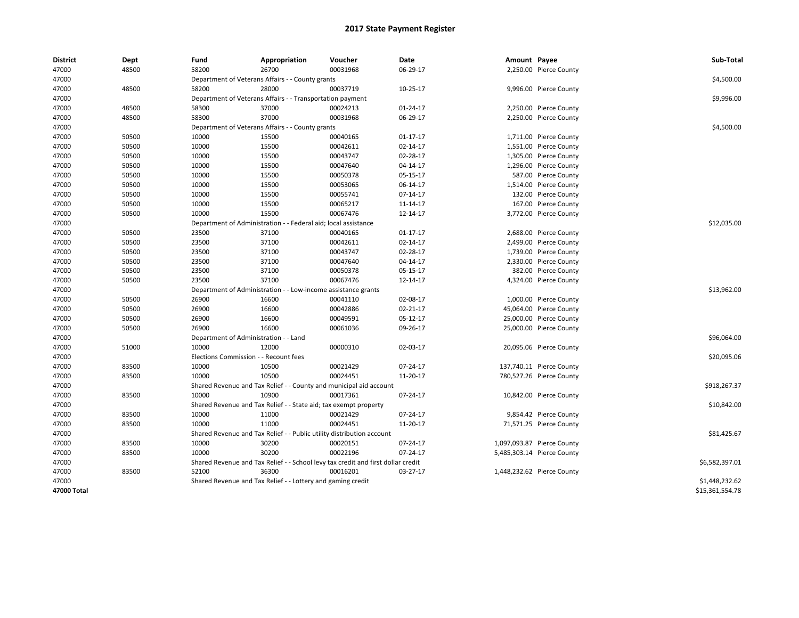| <b>District</b> | Dept  | Fund                                  | Appropriation                                                                  | Voucher                                                                          | Date           | Amount Payee |                            | Sub-Total       |
|-----------------|-------|---------------------------------------|--------------------------------------------------------------------------------|----------------------------------------------------------------------------------|----------------|--------------|----------------------------|-----------------|
| 47000           | 48500 | 58200                                 | 26700                                                                          | 00031968                                                                         | 06-29-17       |              | 2,250.00 Pierce County     |                 |
| 47000           |       |                                       | Department of Veterans Affairs - - County grants                               |                                                                                  |                |              |                            | \$4,500.00      |
| 47000           | 48500 | 58200                                 | 28000                                                                          | 00037719                                                                         | 10-25-17       |              | 9,996.00 Pierce County     |                 |
| 47000           |       |                                       | Department of Veterans Affairs - - Transportation payment                      |                                                                                  |                |              |                            | \$9,996.00      |
| 47000           | 48500 | 58300                                 | 37000                                                                          | 00024213                                                                         | 01-24-17       |              | 2,250.00 Pierce County     |                 |
| 47000           | 48500 | 58300                                 | 37000                                                                          | 00031968                                                                         | 06-29-17       |              | 2,250.00 Pierce County     |                 |
| 47000           |       |                                       | Department of Veterans Affairs - - County grants                               |                                                                                  |                |              |                            | \$4,500.00      |
| 47000           | 50500 | 10000                                 | 15500                                                                          | 00040165                                                                         | $01 - 17 - 17$ |              | 1,711.00 Pierce County     |                 |
| 47000           | 50500 | 10000                                 | 15500                                                                          | 00042611                                                                         | 02-14-17       |              | 1,551.00 Pierce County     |                 |
| 47000           | 50500 | 10000                                 | 15500                                                                          | 00043747                                                                         | 02-28-17       |              | 1,305.00 Pierce County     |                 |
| 47000           | 50500 | 10000                                 | 15500                                                                          | 00047640                                                                         | 04-14-17       |              | 1,296.00 Pierce County     |                 |
| 47000           | 50500 | 10000                                 | 15500                                                                          | 00050378                                                                         | 05-15-17       |              | 587.00 Pierce County       |                 |
| 47000           | 50500 | 10000                                 | 15500                                                                          | 00053065                                                                         | 06-14-17       |              | 1,514.00 Pierce County     |                 |
| 47000           | 50500 | 10000                                 | 15500                                                                          | 00055741                                                                         | 07-14-17       |              | 132.00 Pierce County       |                 |
| 47000           | 50500 | 10000                                 | 15500                                                                          | 00065217                                                                         | 11-14-17       |              | 167.00 Pierce County       |                 |
| 47000           | 50500 | 10000                                 | 15500                                                                          | 00067476                                                                         | 12-14-17       |              | 3,772.00 Pierce County     |                 |
| 47000           |       | Department of Administration          |                                                                                | - Federal aid; local assistance                                                  |                |              |                            | \$12,035.00     |
| 47000           | 50500 | 23500                                 | 37100                                                                          | 00040165                                                                         | $01 - 17 - 17$ |              | 2,688.00 Pierce County     |                 |
| 47000           | 50500 | 23500                                 | 37100                                                                          | 00042611                                                                         | 02-14-17       |              | 2,499.00 Pierce County     |                 |
| 47000           | 50500 | 23500                                 | 37100                                                                          | 00043747                                                                         | 02-28-17       |              | 1,739.00 Pierce County     |                 |
| 47000           | 50500 | 23500                                 | 37100                                                                          | 00047640                                                                         | 04-14-17       |              | 2,330.00 Pierce County     |                 |
| 47000           | 50500 | 23500                                 | 37100                                                                          | 00050378                                                                         | 05-15-17       |              | 382.00 Pierce County       |                 |
| 47000           | 50500 | 23500                                 | 37100                                                                          | 00067476                                                                         | 12-14-17       |              | 4,324.00 Pierce County     |                 |
| 47000           |       |                                       | Department of Administration - - Low-income assistance grants                  |                                                                                  |                |              |                            | \$13,962.00     |
| 47000           | 50500 | 26900                                 | 16600                                                                          | 00041110                                                                         | 02-08-17       |              | 1,000.00 Pierce County     |                 |
| 47000           | 50500 | 26900                                 | 16600                                                                          | 00042886                                                                         | 02-21-17       |              | 45,064.00 Pierce County    |                 |
| 47000           | 50500 | 26900                                 | 16600                                                                          | 00049591                                                                         | 05-12-17       |              | 25,000.00 Pierce County    |                 |
| 47000           | 50500 | 26900                                 | 16600                                                                          | 00061036                                                                         | 09-26-17       |              | 25,000.00 Pierce County    |                 |
| 47000           |       | Department of Administration - - Land |                                                                                |                                                                                  |                |              |                            | \$96,064.00     |
| 47000           | 51000 | 10000                                 | 12000                                                                          | 00000310                                                                         | 02-03-17       |              | 20,095.06 Pierce County    |                 |
| 47000           |       | Elections Commission - - Recount fees |                                                                                |                                                                                  |                |              |                            | \$20,095.06     |
| 47000           | 83500 | 10000                                 | 10500                                                                          | 00021429                                                                         | 07-24-17       |              | 137,740.11 Pierce County   |                 |
| 47000           | 83500 | 10000                                 | 10500                                                                          | 00024451                                                                         | 11-20-17       |              | 780,527.26 Pierce County   |                 |
| 47000           |       |                                       |                                                                                | Shared Revenue and Tax Relief - - County and municipal aid account               |                |              |                            | \$918,267.37    |
| 47000           | 83500 | 10000                                 | 10900                                                                          | 00017361                                                                         | 07-24-17       |              | 10,842.00 Pierce County    |                 |
| 47000           |       |                                       | Shared Revenue and Tax Relief - - State aid; tax exempt property               |                                                                                  |                |              |                            | \$10,842.00     |
| 47000           | 83500 | 10000                                 | 11000                                                                          | 00021429                                                                         | 07-24-17       |              | 9,854.42 Pierce County     |                 |
| 47000           | 83500 | 10000                                 | 11000                                                                          | 00024451                                                                         | 11-20-17       |              | 71,571.25 Pierce County    |                 |
| 47000           |       |                                       |                                                                                |                                                                                  |                |              |                            | \$81,425.67     |
|                 | 83500 | 10000                                 | Shared Revenue and Tax Relief - - Public utility distribution account<br>30200 | 00020151                                                                         | 07-24-17       |              |                            |                 |
| 47000           |       |                                       |                                                                                |                                                                                  |                |              | 1,097,093.87 Pierce County |                 |
| 47000           | 83500 | 10000                                 | 30200                                                                          | 00022196                                                                         | 07-24-17       |              | 5,485,303.14 Pierce County |                 |
| 47000           |       |                                       |                                                                                | Shared Revenue and Tax Relief - - School levy tax credit and first dollar credit |                |              |                            | \$6,582,397.01  |
| 47000           | 83500 | 52100                                 | 36300                                                                          | 00016201                                                                         | 03-27-17       |              | 1,448,232.62 Pierce County |                 |
| 47000           |       |                                       | Shared Revenue and Tax Relief - - Lottery and gaming credit                    |                                                                                  |                |              |                            | \$1,448,232.62  |
| 47000 Total     |       |                                       |                                                                                |                                                                                  |                |              |                            | \$15,361,554.78 |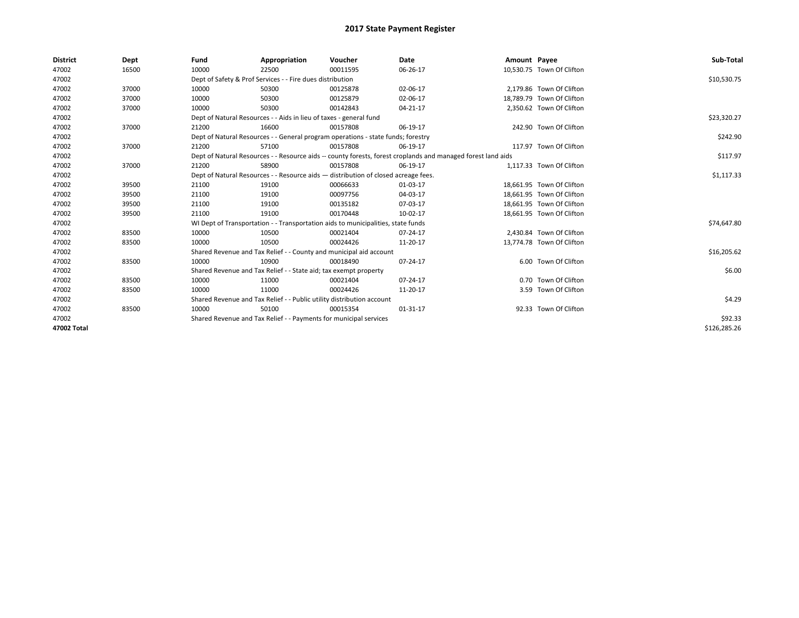| <b>District</b> | Dept  | Fund                                                              | Appropriation                                                                      | Voucher  | Date                                                                                                         | Amount Payee |                           | Sub-Total    |
|-----------------|-------|-------------------------------------------------------------------|------------------------------------------------------------------------------------|----------|--------------------------------------------------------------------------------------------------------------|--------------|---------------------------|--------------|
| 47002           | 16500 | 10000                                                             | 22500                                                                              | 00011595 | 06-26-17                                                                                                     |              | 10,530.75 Town Of Clifton |              |
| 47002           |       |                                                                   | Dept of Safety & Prof Services - - Fire dues distribution                          |          |                                                                                                              |              |                           | \$10,530.75  |
| 47002           | 37000 | 10000                                                             | 50300                                                                              | 00125878 | 02-06-17                                                                                                     |              | 2,179.86 Town Of Clifton  |              |
| 47002           | 37000 | 10000                                                             | 50300                                                                              | 00125879 | 02-06-17                                                                                                     |              | 18,789.79 Town Of Clifton |              |
| 47002           | 37000 | 10000                                                             | 50300                                                                              | 00142843 | 04-21-17                                                                                                     |              | 2,350.62 Town Of Clifton  |              |
| 47002           |       |                                                                   | Dept of Natural Resources - - Aids in lieu of taxes - general fund                 |          |                                                                                                              |              |                           | \$23,320.27  |
| 47002           | 37000 | 21200                                                             | 16600                                                                              | 00157808 | 06-19-17                                                                                                     |              | 242.90 Town Of Clifton    |              |
| 47002           |       |                                                                   | Dept of Natural Resources - - General program operations - state funds; forestry   |          |                                                                                                              |              |                           | \$242.90     |
| 47002           | 37000 | 21200                                                             | 57100                                                                              | 00157808 | 06-19-17                                                                                                     |              | 117.97 Town Of Clifton    |              |
| 47002           |       |                                                                   |                                                                                    |          | Dept of Natural Resources - - Resource aids -- county forests, forest croplands and managed forest land aids |              |                           | \$117.97     |
| 47002           | 37000 | 21200                                                             | 58900                                                                              | 00157808 | 06-19-17                                                                                                     |              | 1.117.33 Town Of Clifton  |              |
| 47002           |       |                                                                   | Dept of Natural Resources - - Resource aids - distribution of closed acreage fees. |          |                                                                                                              |              |                           | \$1,117.33   |
| 47002           | 39500 | 21100                                                             | 19100                                                                              | 00066633 | 01-03-17                                                                                                     |              | 18,661.95 Town Of Clifton |              |
| 47002           | 39500 | 21100                                                             | 19100                                                                              | 00097756 | 04-03-17                                                                                                     |              | 18,661.95 Town Of Clifton |              |
| 47002           | 39500 | 21100                                                             | 19100                                                                              | 00135182 | 07-03-17                                                                                                     |              | 18,661.95 Town Of Clifton |              |
| 47002           | 39500 | 21100                                                             | 19100                                                                              | 00170448 | 10-02-17                                                                                                     |              | 18,661.95 Town Of Clifton |              |
| 47002           |       |                                                                   | WI Dept of Transportation - - Transportation aids to municipalities, state funds   |          |                                                                                                              |              |                           | \$74,647.80  |
| 47002           | 83500 | 10000                                                             | 10500                                                                              | 00021404 | 07-24-17                                                                                                     |              | 2,430.84 Town Of Clifton  |              |
| 47002           | 83500 | 10000                                                             | 10500                                                                              | 00024426 | 11-20-17                                                                                                     |              | 13,774.78 Town Of Clifton |              |
| 47002           |       |                                                                   | Shared Revenue and Tax Relief - - County and municipal aid account                 |          |                                                                                                              |              |                           | \$16,205.62  |
| 47002           | 83500 | 10000                                                             | 10900                                                                              | 00018490 | 07-24-17                                                                                                     |              | 6.00 Town Of Clifton      |              |
| 47002           |       |                                                                   | Shared Revenue and Tax Relief - - State aid; tax exempt property                   |          |                                                                                                              |              |                           | \$6.00       |
| 47002           | 83500 | 10000                                                             | 11000                                                                              | 00021404 | 07-24-17                                                                                                     |              | 0.70 Town Of Clifton      |              |
| 47002           | 83500 | 10000                                                             | 11000                                                                              | 00024426 | 11-20-17                                                                                                     |              | 3.59 Town Of Clifton      |              |
| 47002           |       |                                                                   | Shared Revenue and Tax Relief - - Public utility distribution account              |          |                                                                                                              |              |                           | \$4.29       |
| 47002           | 83500 | 10000                                                             | 50100                                                                              | 00015354 | 01-31-17                                                                                                     |              | 92.33 Town Of Clifton     |              |
| 47002           |       | Shared Revenue and Tax Relief - - Payments for municipal services |                                                                                    | \$92.33  |                                                                                                              |              |                           |              |
| 47002 Total     |       |                                                                   |                                                                                    |          |                                                                                                              |              |                           | \$126,285.26 |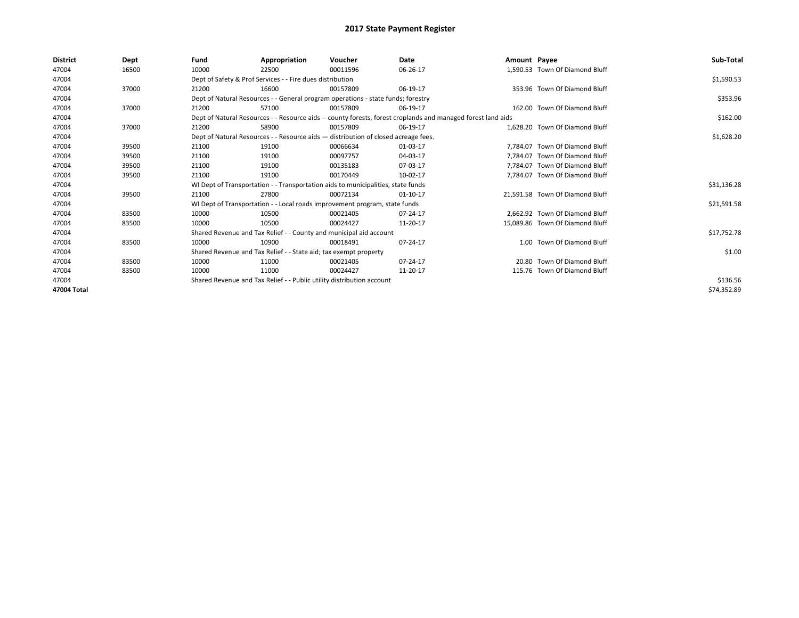| <b>District</b> | Dept  | Fund                                                                  | Appropriation                                                                      | Voucher                                                                          | Date                                                                                                         | Amount Payee |                                 | Sub-Total   |  |  |
|-----------------|-------|-----------------------------------------------------------------------|------------------------------------------------------------------------------------|----------------------------------------------------------------------------------|--------------------------------------------------------------------------------------------------------------|--------------|---------------------------------|-------------|--|--|
| 47004           | 16500 | 10000                                                                 | 22500                                                                              | 00011596                                                                         | 06-26-17                                                                                                     |              | 1.590.53 Town Of Diamond Bluff  |             |  |  |
| 47004           |       |                                                                       | Dept of Safety & Prof Services - - Fire dues distribution                          |                                                                                  |                                                                                                              |              |                                 | \$1,590.53  |  |  |
| 47004           | 37000 | 21200                                                                 | 16600                                                                              | 00157809                                                                         | 06-19-17                                                                                                     |              | 353.96 Town Of Diamond Bluff    |             |  |  |
| 47004           |       |                                                                       |                                                                                    | Dept of Natural Resources - - General program operations - state funds; forestry |                                                                                                              |              |                                 | \$353.96    |  |  |
| 47004           | 37000 | 21200                                                                 | 57100                                                                              | 00157809                                                                         | 06-19-17                                                                                                     |              | 162.00 Town Of Diamond Bluff    |             |  |  |
| 47004           |       |                                                                       |                                                                                    |                                                                                  | Dept of Natural Resources - - Resource aids -- county forests, forest croplands and managed forest land aids |              |                                 | \$162.00    |  |  |
| 47004           | 37000 | 21200                                                                 | 58900                                                                              | 00157809                                                                         | 06-19-17                                                                                                     |              | 1.628.20 Town Of Diamond Bluff  |             |  |  |
| 47004           |       |                                                                       | Dept of Natural Resources - - Resource aids - distribution of closed acreage fees. |                                                                                  |                                                                                                              |              |                                 |             |  |  |
| 47004           | 39500 | 21100                                                                 | 19100                                                                              | 00066634                                                                         | 01-03-17                                                                                                     |              | 7.784.07 Town Of Diamond Bluff  |             |  |  |
| 47004           | 39500 | 21100                                                                 | 19100                                                                              | 00097757                                                                         | 04-03-17                                                                                                     |              | 7.784.07 Town Of Diamond Bluff  |             |  |  |
| 47004           | 39500 | 21100                                                                 | 19100                                                                              | 00135183                                                                         | 07-03-17                                                                                                     |              | 7.784.07 Town Of Diamond Bluff  |             |  |  |
| 47004           | 39500 | 21100                                                                 | 19100                                                                              | 00170449                                                                         | 10-02-17                                                                                                     |              | 7.784.07 Town Of Diamond Bluff  |             |  |  |
| 47004           |       |                                                                       |                                                                                    | WI Dept of Transportation - - Transportation aids to municipalities, state funds |                                                                                                              |              |                                 | \$31,136.28 |  |  |
| 47004           | 39500 | 21100                                                                 | 27800                                                                              | 00072134                                                                         | 01-10-17                                                                                                     |              | 21,591.58 Town Of Diamond Bluff |             |  |  |
| 47004           |       |                                                                       |                                                                                    | WI Dept of Transportation - - Local roads improvement program, state funds       |                                                                                                              |              |                                 | \$21,591.58 |  |  |
| 47004           | 83500 | 10000                                                                 | 10500                                                                              | 00021405                                                                         | 07-24-17                                                                                                     |              | 2.662.92 Town Of Diamond Bluff  |             |  |  |
| 47004           | 83500 | 10000                                                                 | 10500                                                                              | 00024427                                                                         | 11-20-17                                                                                                     |              | 15,089.86 Town Of Diamond Bluff |             |  |  |
| 47004           |       |                                                                       |                                                                                    | Shared Revenue and Tax Relief - - County and municipal aid account               |                                                                                                              |              |                                 | \$17,752.78 |  |  |
| 47004           | 83500 | 10000                                                                 | 10900                                                                              | 00018491                                                                         | 07-24-17                                                                                                     |              | 1.00 Town Of Diamond Bluff      |             |  |  |
| 47004           |       |                                                                       | Shared Revenue and Tax Relief - - State aid; tax exempt property                   |                                                                                  |                                                                                                              |              |                                 | \$1.00      |  |  |
| 47004           | 83500 | 10000                                                                 | 11000                                                                              | 00021405                                                                         | 07-24-17                                                                                                     |              | 20.80 Town Of Diamond Bluff     |             |  |  |
| 47004           | 83500 | 10000                                                                 | 11000                                                                              | 00024427                                                                         | 11-20-17                                                                                                     |              | 115.76 Town Of Diamond Bluff    |             |  |  |
| 47004           |       | Shared Revenue and Tax Relief - - Public utility distribution account |                                                                                    | \$136.56                                                                         |                                                                                                              |              |                                 |             |  |  |
| 47004 Total     |       |                                                                       |                                                                                    |                                                                                  |                                                                                                              |              |                                 | \$74,352.89 |  |  |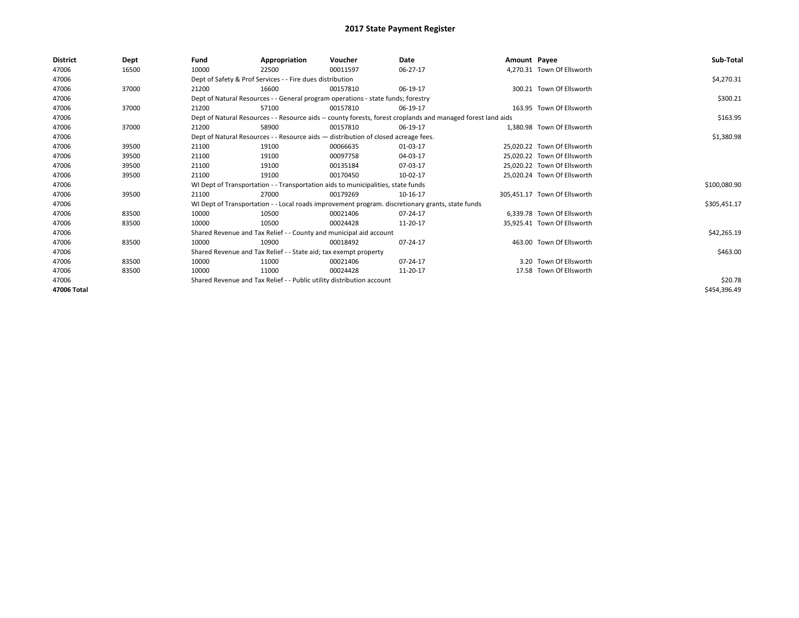| <b>District</b> | Dept  | Fund  | Appropriation                                                                      | Voucher  | Date                                                                                                         | Amount Payee |                              | Sub-Total    |
|-----------------|-------|-------|------------------------------------------------------------------------------------|----------|--------------------------------------------------------------------------------------------------------------|--------------|------------------------------|--------------|
| 47006           | 16500 | 10000 | 22500                                                                              | 00011597 | 06-27-17                                                                                                     |              | 4,270.31 Town Of Ellsworth   |              |
| 47006           |       |       | Dept of Safety & Prof Services - - Fire dues distribution                          |          |                                                                                                              |              |                              | \$4,270.31   |
| 47006           | 37000 | 21200 | 16600                                                                              | 00157810 | 06-19-17                                                                                                     |              | 300.21 Town Of Ellsworth     |              |
| 47006           |       |       | Dept of Natural Resources - - General program operations - state funds; forestry   |          |                                                                                                              |              |                              | \$300.21     |
| 47006           | 37000 | 21200 | 57100                                                                              | 00157810 | 06-19-17                                                                                                     |              | 163.95 Town Of Ellsworth     |              |
| 47006           |       |       |                                                                                    |          | Dept of Natural Resources - - Resource aids -- county forests, forest croplands and managed forest land aids |              |                              | \$163.95     |
| 47006           | 37000 | 21200 | 58900                                                                              | 00157810 | 06-19-17                                                                                                     |              | 1.380.98 Town Of Ellsworth   |              |
| 47006           |       |       | Dept of Natural Resources - - Resource aids - distribution of closed acreage fees. |          | \$1,380.98                                                                                                   |              |                              |              |
| 47006           | 39500 | 21100 | 19100                                                                              | 00066635 | 01-03-17                                                                                                     |              | 25.020.22 Town Of Ellsworth  |              |
| 47006           | 39500 | 21100 | 19100                                                                              | 00097758 | 04-03-17                                                                                                     |              | 25.020.22 Town Of Ellsworth  |              |
| 47006           | 39500 | 21100 | 19100                                                                              | 00135184 | 07-03-17                                                                                                     |              | 25,020.22 Town Of Ellsworth  |              |
| 47006           | 39500 | 21100 | 19100                                                                              | 00170450 | 10-02-17                                                                                                     |              | 25.020.24 Town Of Ellsworth  |              |
| 47006           |       |       | WI Dept of Transportation - - Transportation aids to municipalities, state funds   |          |                                                                                                              |              |                              | \$100,080.90 |
| 47006           | 39500 | 21100 | 27000                                                                              | 00179269 | 10-16-17                                                                                                     |              | 305,451.17 Town Of Ellsworth |              |
| 47006           |       |       |                                                                                    |          | WI Dept of Transportation - - Local roads improvement program. discretionary grants, state funds             |              |                              | \$305,451.17 |
| 47006           | 83500 | 10000 | 10500                                                                              | 00021406 | 07-24-17                                                                                                     |              | 6.339.78 Town Of Ellsworth   |              |
| 47006           | 83500 | 10000 | 10500                                                                              | 00024428 | 11-20-17                                                                                                     |              | 35,925.41 Town Of Ellsworth  |              |
| 47006           |       |       | Shared Revenue and Tax Relief - - County and municipal aid account                 |          |                                                                                                              |              |                              | \$42,265.19  |
| 47006           | 83500 | 10000 | 10900                                                                              | 00018492 | 07-24-17                                                                                                     |              | 463.00 Town Of Ellsworth     |              |
| 47006           |       |       | Shared Revenue and Tax Relief - - State aid; tax exempt property                   |          |                                                                                                              |              |                              | \$463.00     |
| 47006           | 83500 | 10000 | 11000                                                                              | 00021406 | 07-24-17                                                                                                     |              | 3.20 Town Of Ellsworth       |              |
| 47006           | 83500 | 10000 | 11000                                                                              | 00024428 | 11-20-17                                                                                                     |              | 17.58 Town Of Ellsworth      |              |
| 47006           |       |       | Shared Revenue and Tax Relief - - Public utility distribution account              |          |                                                                                                              |              |                              | \$20.78      |
| 47006 Total     |       |       |                                                                                    |          |                                                                                                              |              |                              | \$454,396.49 |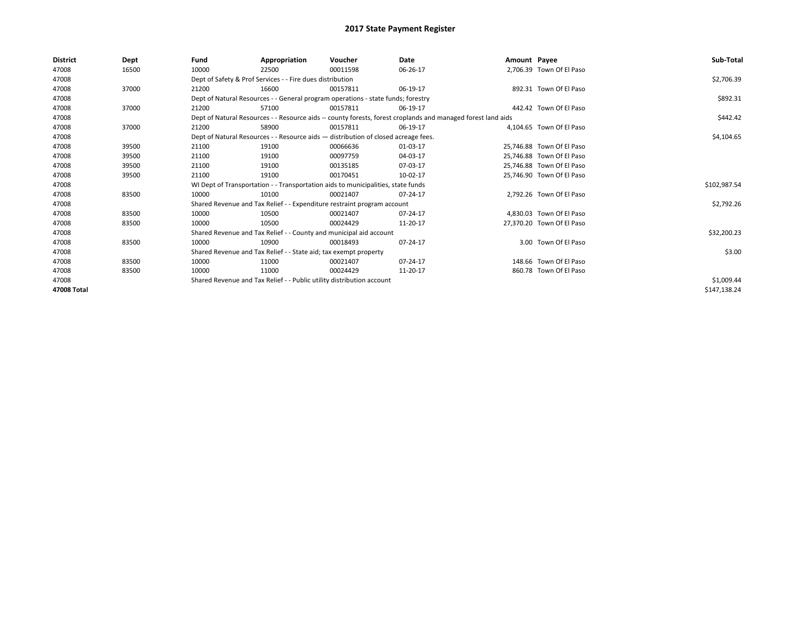| <b>District</b> | Dept  | Fund  | Appropriation                                                         | Voucher                                                                            | Date                                                                                                         | Amount Payee |                           | Sub-Total    |
|-----------------|-------|-------|-----------------------------------------------------------------------|------------------------------------------------------------------------------------|--------------------------------------------------------------------------------------------------------------|--------------|---------------------------|--------------|
| 47008           | 16500 | 10000 | 22500                                                                 | 00011598                                                                           | 06-26-17                                                                                                     |              | 2,706.39 Town Of El Paso  |              |
| 47008           |       |       | Dept of Safety & Prof Services - - Fire dues distribution             |                                                                                    |                                                                                                              |              |                           | \$2,706.39   |
| 47008           | 37000 | 21200 | 16600                                                                 | 00157811                                                                           | 06-19-17                                                                                                     |              | 892.31 Town Of El Paso    |              |
| 47008           |       |       |                                                                       | Dept of Natural Resources - - General program operations - state funds; forestry   |                                                                                                              |              |                           | \$892.31     |
| 47008           | 37000 | 21200 | 57100                                                                 | 00157811                                                                           | 06-19-17                                                                                                     |              | 442.42 Town Of El Paso    |              |
| 47008           |       |       |                                                                       |                                                                                    | Dept of Natural Resources - - Resource aids -- county forests, forest croplands and managed forest land aids |              |                           | \$442.42     |
| 47008           | 37000 | 21200 | 58900                                                                 | 00157811                                                                           | 06-19-17                                                                                                     |              | 4.104.65 Town Of El Paso  |              |
| 47008           |       |       |                                                                       | Dept of Natural Resources - - Resource aids - distribution of closed acreage fees. |                                                                                                              |              |                           | \$4,104.65   |
| 47008           | 39500 | 21100 | 19100                                                                 | 00066636                                                                           | 01-03-17                                                                                                     |              | 25,746.88 Town Of El Paso |              |
| 47008           | 39500 | 21100 | 19100                                                                 | 00097759                                                                           | 04-03-17                                                                                                     |              | 25,746.88 Town Of El Paso |              |
| 47008           | 39500 | 21100 | 19100                                                                 | 00135185                                                                           | 07-03-17                                                                                                     |              | 25,746.88 Town Of El Paso |              |
| 47008           | 39500 | 21100 | 19100                                                                 | 00170451                                                                           | 10-02-17                                                                                                     |              | 25.746.90 Town Of El Paso |              |
| 47008           |       |       |                                                                       | WI Dept of Transportation - - Transportation aids to municipalities, state funds   |                                                                                                              |              |                           | \$102,987.54 |
| 47008           | 83500 | 10000 | 10100                                                                 | 00021407                                                                           | 07-24-17                                                                                                     |              | 2,792.26 Town Of El Paso  |              |
| 47008           |       |       |                                                                       | Shared Revenue and Tax Relief - - Expenditure restraint program account            |                                                                                                              |              |                           | \$2,792.26   |
| 47008           | 83500 | 10000 | 10500                                                                 | 00021407                                                                           | 07-24-17                                                                                                     |              | 4,830.03 Town Of El Paso  |              |
| 47008           | 83500 | 10000 | 10500                                                                 | 00024429                                                                           | 11-20-17                                                                                                     |              | 27.370.20 Town Of El Paso |              |
| 47008           |       |       |                                                                       | Shared Revenue and Tax Relief - - County and municipal aid account                 |                                                                                                              |              |                           | \$32,200.23  |
| 47008           | 83500 | 10000 | 10900                                                                 | 00018493                                                                           | 07-24-17                                                                                                     |              | 3.00 Town Of El Paso      |              |
| 47008           |       |       | Shared Revenue and Tax Relief - - State aid; tax exempt property      |                                                                                    |                                                                                                              |              |                           | \$3.00       |
| 47008           | 83500 | 10000 | 11000                                                                 | 00021407                                                                           | 07-24-17                                                                                                     |              | 148.66 Town Of El Paso    |              |
| 47008           | 83500 | 10000 | 11000                                                                 | 00024429                                                                           | 11-20-17                                                                                                     |              | 860.78 Town Of El Paso    |              |
| 47008           |       |       | Shared Revenue and Tax Relief - - Public utility distribution account |                                                                                    | \$1,009.44                                                                                                   |              |                           |              |
| 47008 Total     |       |       |                                                                       |                                                                                    |                                                                                                              |              |                           | \$147,138.24 |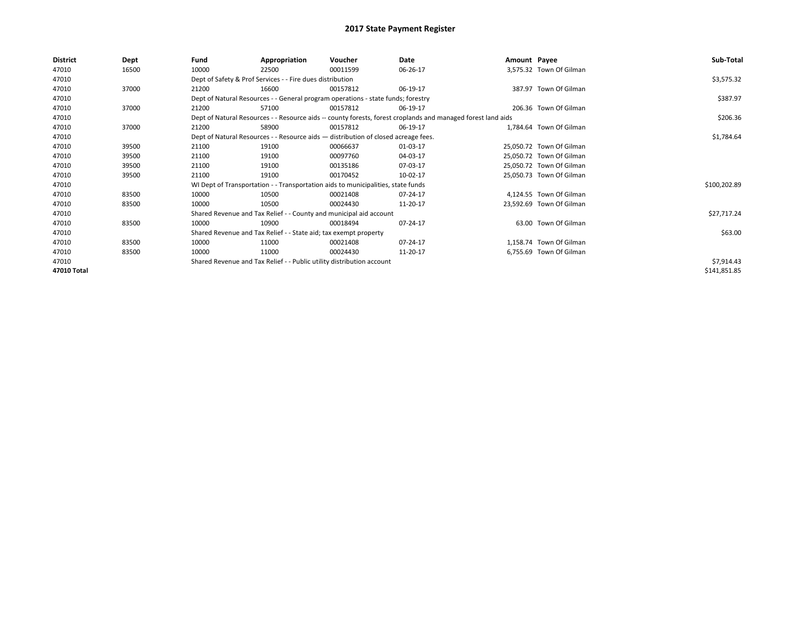| District    | Dept  | Fund  | Appropriation                                                                      | Voucher  | Date                                                                                                         | Amount Payee |                          | Sub-Total    |
|-------------|-------|-------|------------------------------------------------------------------------------------|----------|--------------------------------------------------------------------------------------------------------------|--------------|--------------------------|--------------|
| 47010       | 16500 | 10000 | 22500                                                                              | 00011599 | 06-26-17                                                                                                     |              | 3,575.32 Town Of Gilman  |              |
| 47010       |       |       | Dept of Safety & Prof Services - - Fire dues distribution                          |          |                                                                                                              |              |                          | \$3,575.32   |
| 47010       | 37000 | 21200 | 16600                                                                              | 00157812 | 06-19-17                                                                                                     |              | 387.97 Town Of Gilman    |              |
| 47010       |       |       | Dept of Natural Resources - - General program operations - state funds; forestry   |          |                                                                                                              |              |                          | \$387.97     |
| 47010       | 37000 | 21200 | 57100                                                                              | 00157812 | 06-19-17                                                                                                     |              | 206.36 Town Of Gilman    |              |
| 47010       |       |       |                                                                                    |          | Dept of Natural Resources - - Resource aids -- county forests, forest croplands and managed forest land aids |              |                          | \$206.36     |
| 47010       | 37000 | 21200 | 58900                                                                              | 00157812 | 06-19-17                                                                                                     |              | 1,784.64 Town Of Gilman  |              |
| 47010       |       |       | Dept of Natural Resources - - Resource aids - distribution of closed acreage fees. |          | \$1,784.64                                                                                                   |              |                          |              |
| 47010       | 39500 | 21100 | 19100                                                                              | 00066637 | 01-03-17                                                                                                     |              | 25,050.72 Town Of Gilman |              |
| 47010       | 39500 | 21100 | 19100                                                                              | 00097760 | 04-03-17                                                                                                     |              | 25,050.72 Town Of Gilman |              |
| 47010       | 39500 | 21100 | 19100                                                                              | 00135186 | 07-03-17                                                                                                     |              | 25,050.72 Town Of Gilman |              |
| 47010       | 39500 | 21100 | 19100                                                                              | 00170452 | 10-02-17                                                                                                     |              | 25,050.73 Town Of Gilman |              |
| 47010       |       |       | WI Dept of Transportation - - Transportation aids to municipalities, state funds   |          |                                                                                                              |              |                          | \$100,202.89 |
| 47010       | 83500 | 10000 | 10500                                                                              | 00021408 | 07-24-17                                                                                                     |              | 4,124.55 Town Of Gilman  |              |
| 47010       | 83500 | 10000 | 10500                                                                              | 00024430 | 11-20-17                                                                                                     |              | 23,592.69 Town Of Gilman |              |
| 47010       |       |       | Shared Revenue and Tax Relief - - County and municipal aid account                 |          |                                                                                                              |              |                          | \$27,717.24  |
| 47010       | 83500 | 10000 | 10900                                                                              | 00018494 | 07-24-17                                                                                                     |              | 63.00 Town Of Gilman     |              |
| 47010       |       |       | Shared Revenue and Tax Relief - - State aid; tax exempt property                   |          |                                                                                                              |              |                          | \$63.00      |
| 47010       | 83500 | 10000 | 11000                                                                              | 00021408 | 07-24-17                                                                                                     |              | 1,158.74 Town Of Gilman  |              |
| 47010       | 83500 | 10000 | 11000                                                                              | 00024430 | 11-20-17                                                                                                     |              | 6,755.69 Town Of Gilman  |              |
| 47010       |       |       | Shared Revenue and Tax Relief - - Public utility distribution account              |          |                                                                                                              |              |                          | \$7,914.43   |
| 47010 Total |       |       |                                                                                    |          |                                                                                                              |              |                          | \$141,851.85 |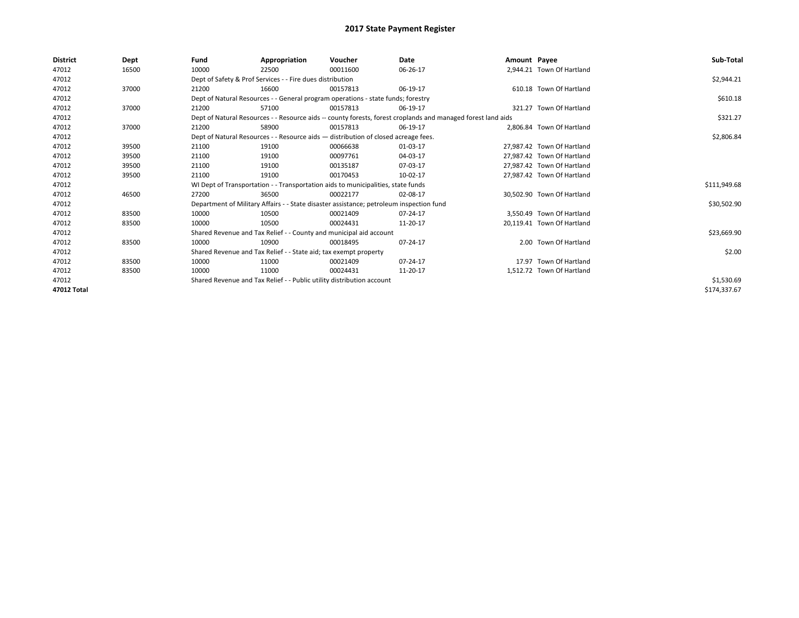| <b>District</b> | Dept  | Fund  | Appropriation                                                                           | Voucher  | Date                                                                                                         | Amount Payee |                            | Sub-Total    |
|-----------------|-------|-------|-----------------------------------------------------------------------------------------|----------|--------------------------------------------------------------------------------------------------------------|--------------|----------------------------|--------------|
| 47012           | 16500 | 10000 | 22500                                                                                   | 00011600 | 06-26-17                                                                                                     |              | 2,944.21 Town Of Hartland  |              |
| 47012           |       |       | Dept of Safety & Prof Services - - Fire dues distribution                               |          |                                                                                                              |              |                            | \$2,944.21   |
| 47012           | 37000 | 21200 | 16600                                                                                   | 00157813 | 06-19-17                                                                                                     |              | 610.18 Town Of Hartland    |              |
| 47012           |       |       | Dept of Natural Resources - - General program operations - state funds; forestry        |          |                                                                                                              |              |                            | \$610.18     |
| 47012           | 37000 | 21200 | 57100                                                                                   | 00157813 | 06-19-17                                                                                                     |              | 321.27 Town Of Hartland    |              |
| 47012           |       |       |                                                                                         |          | Dept of Natural Resources - - Resource aids -- county forests, forest croplands and managed forest land aids |              |                            | \$321.27     |
| 47012           | 37000 | 21200 | 58900                                                                                   | 00157813 | 06-19-17                                                                                                     |              | 2.806.84 Town Of Hartland  |              |
| 47012           |       |       | Dept of Natural Resources - - Resource aids - distribution of closed acreage fees.      |          | \$2,806.84                                                                                                   |              |                            |              |
| 47012           | 39500 | 21100 | 19100                                                                                   | 00066638 | 01-03-17                                                                                                     |              | 27,987.42 Town Of Hartland |              |
| 47012           | 39500 | 21100 | 19100                                                                                   | 00097761 | 04-03-17                                                                                                     |              | 27,987.42 Town Of Hartland |              |
| 47012           | 39500 | 21100 | 19100                                                                                   | 00135187 | 07-03-17                                                                                                     |              | 27.987.42 Town Of Hartland |              |
| 47012           | 39500 | 21100 | 19100                                                                                   | 00170453 | 10-02-17                                                                                                     |              | 27,987.42 Town Of Hartland |              |
| 47012           |       |       | WI Dept of Transportation - - Transportation aids to municipalities, state funds        |          |                                                                                                              |              |                            | \$111,949.68 |
| 47012           | 46500 | 27200 | 36500                                                                                   | 00022177 | 02-08-17                                                                                                     |              | 30,502.90 Town Of Hartland |              |
| 47012           |       |       | Department of Military Affairs - - State disaster assistance; petroleum inspection fund |          |                                                                                                              |              |                            | \$30,502.90  |
| 47012           | 83500 | 10000 | 10500                                                                                   | 00021409 | 07-24-17                                                                                                     |              | 3.550.49 Town Of Hartland  |              |
| 47012           | 83500 | 10000 | 10500                                                                                   | 00024431 | 11-20-17                                                                                                     |              | 20,119.41 Town Of Hartland |              |
| 47012           |       |       | Shared Revenue and Tax Relief - - County and municipal aid account                      |          |                                                                                                              |              |                            | \$23,669.90  |
| 47012           | 83500 | 10000 | 10900                                                                                   | 00018495 | 07-24-17                                                                                                     |              | 2.00 Town Of Hartland      |              |
| 47012           |       |       | Shared Revenue and Tax Relief - - State aid; tax exempt property                        |          |                                                                                                              |              |                            | \$2.00       |
| 47012           | 83500 | 10000 | 11000                                                                                   | 00021409 | 07-24-17                                                                                                     |              | 17.97 Town Of Hartland     |              |
| 47012           | 83500 | 10000 | 11000                                                                                   | 00024431 | 11-20-17                                                                                                     |              | 1,512.72 Town Of Hartland  |              |
| 47012           |       |       | Shared Revenue and Tax Relief - - Public utility distribution account                   |          |                                                                                                              |              |                            | \$1,530.69   |
| 47012 Total     |       |       |                                                                                         |          |                                                                                                              |              |                            | \$174,337.67 |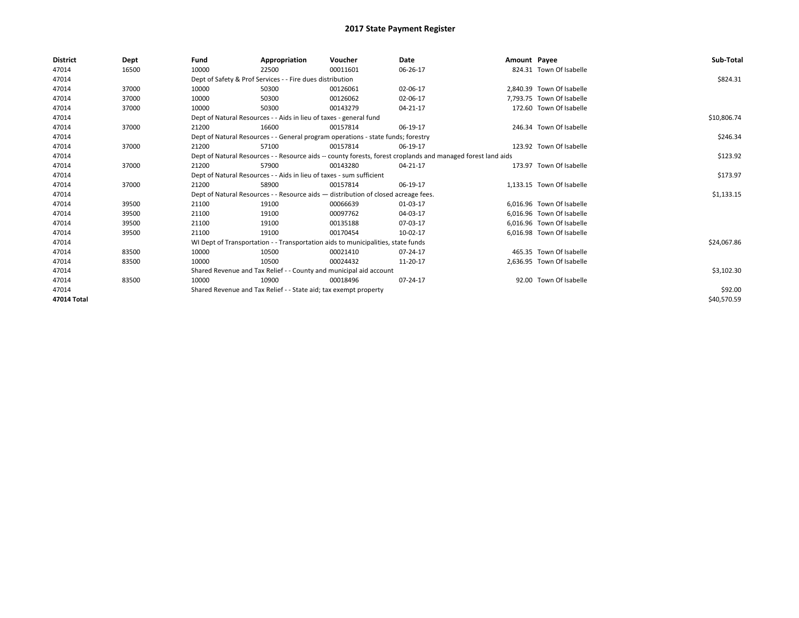| <b>District</b> | Dept  | Fund  | Appropriation                                                        | Voucher                                                                            | Date                                                                                                         | Amount Payee |                           | Sub-Total   |
|-----------------|-------|-------|----------------------------------------------------------------------|------------------------------------------------------------------------------------|--------------------------------------------------------------------------------------------------------------|--------------|---------------------------|-------------|
| 47014           | 16500 | 10000 | 22500                                                                | 00011601                                                                           | 06-26-17                                                                                                     |              | 824.31 Town Of Isabelle   |             |
| 47014           |       |       | Dept of Safety & Prof Services - - Fire dues distribution            |                                                                                    |                                                                                                              |              |                           | \$824.31    |
| 47014           | 37000 | 10000 | 50300                                                                | 00126061                                                                           | 02-06-17                                                                                                     |              | 2.840.39 Town Of Isabelle |             |
| 47014           | 37000 | 10000 | 50300                                                                | 00126062                                                                           | 02-06-17                                                                                                     |              | 7,793.75 Town Of Isabelle |             |
| 47014           | 37000 | 10000 | 50300                                                                | 00143279                                                                           | 04-21-17                                                                                                     |              | 172.60 Town Of Isabelle   |             |
| 47014           |       |       | Dept of Natural Resources - - Aids in lieu of taxes - general fund   |                                                                                    |                                                                                                              |              |                           | \$10,806.74 |
| 47014           | 37000 | 21200 | 16600                                                                | 00157814                                                                           | 06-19-17                                                                                                     |              | 246.34 Town Of Isabelle   |             |
| 47014           |       |       |                                                                      | Dept of Natural Resources - - General program operations - state funds; forestry   |                                                                                                              |              |                           | \$246.34    |
| 47014           | 37000 | 21200 | 57100                                                                | 00157814                                                                           | 06-19-17                                                                                                     |              | 123.92 Town Of Isabelle   |             |
| 47014           |       |       |                                                                      |                                                                                    | Dept of Natural Resources - - Resource aids -- county forests, forest croplands and managed forest land aids |              |                           | \$123.92    |
| 47014           | 37000 | 21200 | 57900                                                                | 00143280                                                                           | 04-21-17                                                                                                     |              | 173.97 Town Of Isabelle   |             |
| 47014           |       |       | Dept of Natural Resources - - Aids in lieu of taxes - sum sufficient |                                                                                    |                                                                                                              |              |                           | \$173.97    |
| 47014           | 37000 | 21200 | 58900                                                                | 00157814                                                                           | 06-19-17                                                                                                     |              | 1,133.15 Town Of Isabelle |             |
| 47014           |       |       |                                                                      | Dept of Natural Resources - - Resource aids - distribution of closed acreage fees. |                                                                                                              |              |                           | \$1,133.15  |
| 47014           | 39500 | 21100 | 19100                                                                | 00066639                                                                           | 01-03-17                                                                                                     |              | 6.016.96 Town Of Isabelle |             |
| 47014           | 39500 | 21100 | 19100                                                                | 00097762                                                                           | 04-03-17                                                                                                     |              | 6.016.96 Town Of Isabelle |             |
| 47014           | 39500 | 21100 | 19100                                                                | 00135188                                                                           | 07-03-17                                                                                                     |              | 6,016.96 Town Of Isabelle |             |
| 47014           | 39500 | 21100 | 19100                                                                | 00170454                                                                           | 10-02-17                                                                                                     |              | 6.016.98 Town Of Isabelle |             |
| 47014           |       |       |                                                                      | WI Dept of Transportation - - Transportation aids to municipalities, state funds   |                                                                                                              |              |                           | \$24,067.86 |
| 47014           | 83500 | 10000 | 10500                                                                | 00021410                                                                           | 07-24-17                                                                                                     |              | 465.35 Town Of Isabelle   |             |
| 47014           | 83500 | 10000 | 10500                                                                | 00024432                                                                           | 11-20-17                                                                                                     |              | 2.636.95 Town Of Isabelle |             |
| 47014           |       |       |                                                                      | Shared Revenue and Tax Relief - - County and municipal aid account                 |                                                                                                              |              |                           | \$3,102.30  |
| 47014           | 83500 | 10000 | 10900                                                                | 00018496                                                                           | 07-24-17                                                                                                     |              | 92.00 Town Of Isabelle    |             |
| 47014           |       |       | Shared Revenue and Tax Relief - - State aid; tax exempt property     |                                                                                    |                                                                                                              |              |                           | \$92.00     |
| 47014 Total     |       |       |                                                                      |                                                                                    |                                                                                                              |              |                           | \$40,570.59 |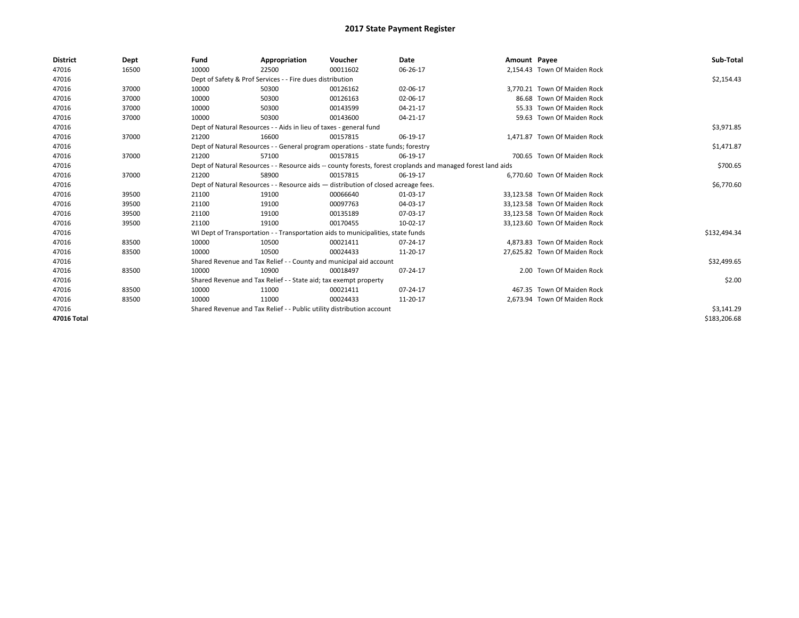| <b>District</b> | Dept  | Fund                                                                  | Appropriation                                                                      | Voucher    | Date                                                                                                         | Amount Payee |                               | Sub-Total    |
|-----------------|-------|-----------------------------------------------------------------------|------------------------------------------------------------------------------------|------------|--------------------------------------------------------------------------------------------------------------|--------------|-------------------------------|--------------|
| 47016           | 16500 | 10000                                                                 | 22500                                                                              | 00011602   | 06-26-17                                                                                                     |              | 2.154.43 Town Of Maiden Rock  |              |
| 47016           |       |                                                                       | Dept of Safety & Prof Services - - Fire dues distribution                          |            |                                                                                                              |              |                               | \$2,154.43   |
| 47016           | 37000 | 10000                                                                 | 50300                                                                              | 00126162   | 02-06-17                                                                                                     |              | 3.770.21 Town Of Maiden Rock  |              |
| 47016           | 37000 | 10000                                                                 | 50300                                                                              | 00126163   | 02-06-17                                                                                                     |              | 86.68 Town Of Maiden Rock     |              |
| 47016           | 37000 | 10000                                                                 | 50300                                                                              | 00143599   | 04-21-17                                                                                                     |              | 55.33 Town Of Maiden Rock     |              |
| 47016           | 37000 | 10000                                                                 | 50300                                                                              | 00143600   | 04-21-17                                                                                                     |              | 59.63 Town Of Maiden Rock     |              |
| 47016           |       |                                                                       | Dept of Natural Resources - - Aids in lieu of taxes - general fund                 |            |                                                                                                              |              |                               | \$3,971.85   |
| 47016           | 37000 | 21200                                                                 | 16600                                                                              | 00157815   | 06-19-17                                                                                                     |              | 1,471.87 Town Of Maiden Rock  |              |
| 47016           |       |                                                                       | Dept of Natural Resources - - General program operations - state funds; forestry   |            |                                                                                                              |              |                               | \$1,471.87   |
| 47016           | 37000 | 21200                                                                 | 57100                                                                              | 00157815   | 06-19-17                                                                                                     |              | 700.65 Town Of Maiden Rock    |              |
| 47016           |       |                                                                       |                                                                                    |            | Dept of Natural Resources - - Resource aids -- county forests, forest croplands and managed forest land aids |              |                               | \$700.65     |
| 47016           | 37000 | 21200                                                                 | 58900                                                                              | 00157815   | 06-19-17                                                                                                     |              | 6.770.60 Town Of Maiden Rock  |              |
| 47016           |       |                                                                       | Dept of Natural Resources - - Resource aids - distribution of closed acreage fees. |            |                                                                                                              |              |                               | \$6,770.60   |
| 47016           | 39500 | 21100                                                                 | 19100                                                                              | 00066640   | 01-03-17                                                                                                     |              | 33,123.58 Town Of Maiden Rock |              |
| 47016           | 39500 | 21100                                                                 | 19100                                                                              | 00097763   | 04-03-17                                                                                                     |              | 33,123.58 Town Of Maiden Rock |              |
| 47016           | 39500 | 21100                                                                 | 19100                                                                              | 00135189   | 07-03-17                                                                                                     |              | 33,123.58 Town Of Maiden Rock |              |
| 47016           | 39500 | 21100                                                                 | 19100                                                                              | 00170455   | 10-02-17                                                                                                     |              | 33,123.60 Town Of Maiden Rock |              |
| 47016           |       |                                                                       | WI Dept of Transportation - - Transportation aids to municipalities, state funds   |            |                                                                                                              |              |                               | \$132,494.34 |
| 47016           | 83500 | 10000                                                                 | 10500                                                                              | 00021411   | 07-24-17                                                                                                     |              | 4.873.83 Town Of Maiden Rock  |              |
| 47016           | 83500 | 10000                                                                 | 10500                                                                              | 00024433   | 11-20-17                                                                                                     |              | 27,625.82 Town Of Maiden Rock |              |
| 47016           |       |                                                                       | Shared Revenue and Tax Relief - - County and municipal aid account                 |            |                                                                                                              |              |                               | \$32,499.65  |
| 47016           | 83500 | 10000                                                                 | 10900                                                                              | 00018497   | 07-24-17                                                                                                     |              | 2.00 Town Of Maiden Rock      |              |
| 47016           |       |                                                                       | Shared Revenue and Tax Relief - - State aid; tax exempt property                   |            |                                                                                                              |              |                               | \$2.00       |
| 47016           | 83500 | 10000                                                                 | 11000                                                                              | 00021411   | 07-24-17                                                                                                     |              | 467.35 Town Of Maiden Rock    |              |
| 47016           | 83500 | 10000                                                                 | 11000                                                                              | 00024433   | 11-20-17                                                                                                     |              | 2,673.94 Town Of Maiden Rock  |              |
| 47016           |       | Shared Revenue and Tax Relief - - Public utility distribution account |                                                                                    | \$3,141.29 |                                                                                                              |              |                               |              |
| 47016 Total     |       |                                                                       |                                                                                    |            |                                                                                                              |              |                               | \$183,206.68 |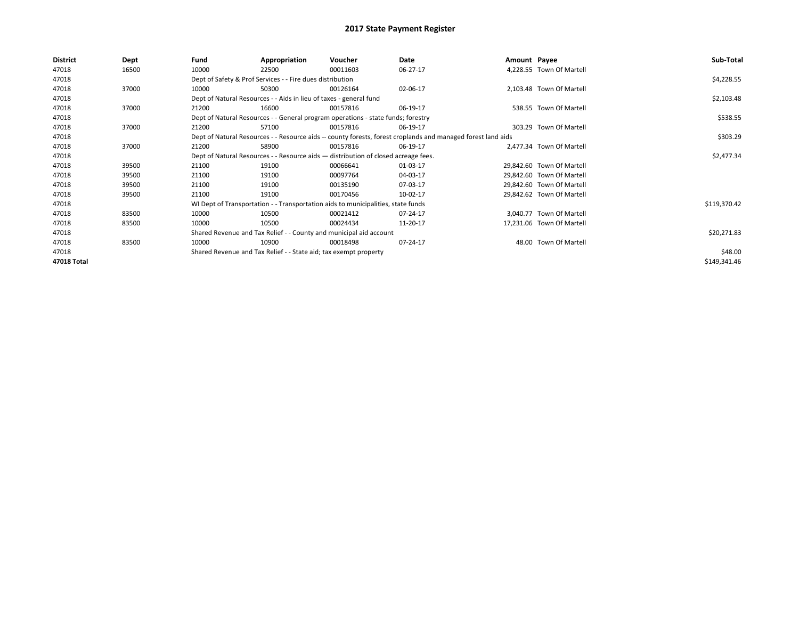| <b>District</b> | Dept  | Fund  | Appropriation                                                      | Voucher                                                                            | Date                                                                                                         | Amount Payee |                           | Sub-Total    |
|-----------------|-------|-------|--------------------------------------------------------------------|------------------------------------------------------------------------------------|--------------------------------------------------------------------------------------------------------------|--------------|---------------------------|--------------|
| 47018           | 16500 | 10000 | 22500                                                              | 00011603                                                                           | 06-27-17                                                                                                     |              | 4,228.55 Town Of Martell  |              |
| 47018           |       |       | Dept of Safety & Prof Services - - Fire dues distribution          |                                                                                    |                                                                                                              |              |                           | \$4,228.55   |
| 47018           | 37000 | 10000 | 50300                                                              | 00126164                                                                           | 02-06-17                                                                                                     |              | 2,103.48 Town Of Martell  |              |
| 47018           |       |       | Dept of Natural Resources - - Aids in lieu of taxes - general fund |                                                                                    |                                                                                                              |              |                           | \$2,103.48   |
| 47018           | 37000 | 21200 | 16600                                                              | 00157816                                                                           | 06-19-17                                                                                                     |              | 538.55 Town Of Martell    |              |
| 47018           |       |       |                                                                    | Dept of Natural Resources - - General program operations - state funds; forestry   |                                                                                                              |              |                           | \$538.55     |
| 47018           | 37000 | 21200 | 57100                                                              | 00157816                                                                           | 06-19-17                                                                                                     |              | 303.29 Town Of Martell    |              |
| 47018           |       |       |                                                                    |                                                                                    | Dept of Natural Resources - - Resource aids -- county forests, forest croplands and managed forest land aids |              |                           | \$303.29     |
| 47018           | 37000 | 21200 | 58900                                                              | 00157816                                                                           | 06-19-17                                                                                                     |              | 2,477.34 Town Of Martell  |              |
| 47018           |       |       |                                                                    | Dept of Natural Resources - - Resource aids - distribution of closed acreage fees. |                                                                                                              |              |                           | \$2,477.34   |
| 47018           | 39500 | 21100 | 19100                                                              | 00066641                                                                           | 01-03-17                                                                                                     |              | 29,842.60 Town Of Martell |              |
| 47018           | 39500 | 21100 | 19100                                                              | 00097764                                                                           | 04-03-17                                                                                                     |              | 29,842.60 Town Of Martell |              |
| 47018           | 39500 | 21100 | 19100                                                              | 00135190                                                                           | 07-03-17                                                                                                     |              | 29,842.60 Town Of Martell |              |
| 47018           | 39500 | 21100 | 19100                                                              | 00170456                                                                           | 10-02-17                                                                                                     |              | 29,842.62 Town Of Martell |              |
| 47018           |       |       |                                                                    | WI Dept of Transportation - - Transportation aids to municipalities, state funds   |                                                                                                              |              |                           | \$119,370.42 |
| 47018           | 83500 | 10000 | 10500                                                              | 00021412                                                                           | 07-24-17                                                                                                     |              | 3.040.77 Town Of Martell  |              |
| 47018           | 83500 | 10000 | 10500                                                              | 00024434                                                                           | 11-20-17                                                                                                     |              | 17,231.06 Town Of Martell |              |
| 47018           |       |       |                                                                    | Shared Revenue and Tax Relief - - County and municipal aid account                 |                                                                                                              |              |                           | \$20,271.83  |
| 47018           | 83500 | 10000 | 10900                                                              | 00018498                                                                           | 07-24-17                                                                                                     |              | 48.00 Town Of Martell     |              |
| 47018           |       |       | Shared Revenue and Tax Relief - - State aid; tax exempt property   |                                                                                    |                                                                                                              |              |                           | \$48.00      |
| 47018 Total     |       |       |                                                                    |                                                                                    |                                                                                                              |              |                           | \$149,341.46 |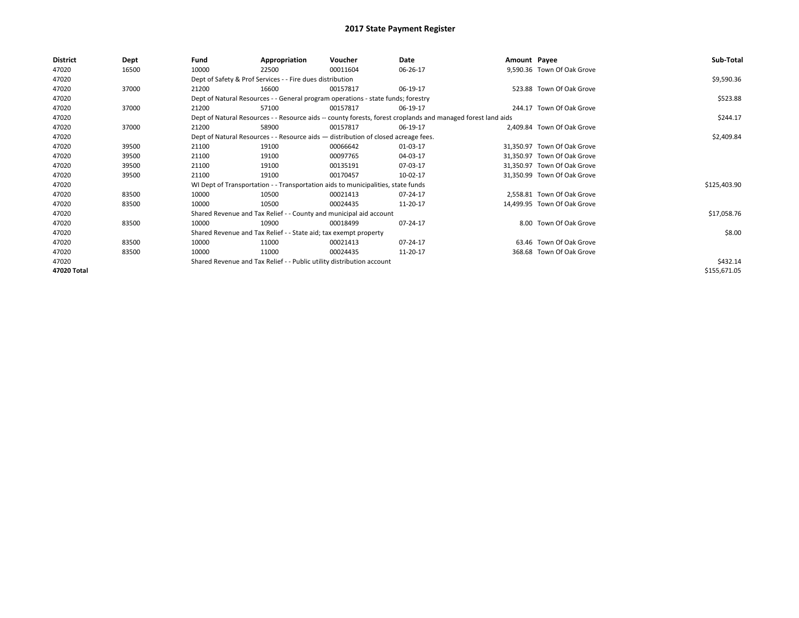| <b>District</b> | Dept  | Fund  | Appropriation                                                                      | Voucher  | Date                                                                                                         | Amount Payee |                             | Sub-Total    |
|-----------------|-------|-------|------------------------------------------------------------------------------------|----------|--------------------------------------------------------------------------------------------------------------|--------------|-----------------------------|--------------|
| 47020           | 16500 | 10000 | 22500                                                                              | 00011604 | 06-26-17                                                                                                     |              | 9,590.36 Town Of Oak Grove  |              |
| 47020           |       |       | Dept of Safety & Prof Services - - Fire dues distribution                          |          |                                                                                                              |              |                             | \$9,590.36   |
| 47020           | 37000 | 21200 | 16600                                                                              | 00157817 | 06-19-17                                                                                                     |              | 523.88 Town Of Oak Grove    |              |
| 47020           |       |       | Dept of Natural Resources - - General program operations - state funds; forestry   |          |                                                                                                              |              |                             | \$523.88     |
| 47020           | 37000 | 21200 | 57100                                                                              | 00157817 | 06-19-17                                                                                                     |              | 244.17 Town Of Oak Grove    |              |
| 47020           |       |       |                                                                                    |          | Dept of Natural Resources - - Resource aids -- county forests, forest croplands and managed forest land aids |              |                             | \$244.17     |
| 47020           | 37000 | 21200 | 58900                                                                              | 00157817 | 06-19-17                                                                                                     |              | 2,409.84 Town Of Oak Grove  |              |
| 47020           |       |       | Dept of Natural Resources - - Resource aids - distribution of closed acreage fees. |          |                                                                                                              |              |                             | \$2,409.84   |
| 47020           | 39500 | 21100 | 19100                                                                              | 00066642 | 01-03-17                                                                                                     |              | 31,350.97 Town Of Oak Grove |              |
| 47020           | 39500 | 21100 | 19100                                                                              | 00097765 | 04-03-17                                                                                                     |              | 31,350.97 Town Of Oak Grove |              |
| 47020           | 39500 | 21100 | 19100                                                                              | 00135191 | 07-03-17                                                                                                     |              | 31,350.97 Town Of Oak Grove |              |
| 47020           | 39500 | 21100 | 19100                                                                              | 00170457 | 10-02-17                                                                                                     |              | 31,350.99 Town Of Oak Grove |              |
| 47020           |       |       | WI Dept of Transportation - - Transportation aids to municipalities, state funds   |          |                                                                                                              |              |                             | \$125,403.90 |
| 47020           | 83500 | 10000 | 10500                                                                              | 00021413 | 07-24-17                                                                                                     |              | 2,558.81 Town Of Oak Grove  |              |
| 47020           | 83500 | 10000 | 10500                                                                              | 00024435 | 11-20-17                                                                                                     |              | 14,499.95 Town Of Oak Grove |              |
| 47020           |       |       | Shared Revenue and Tax Relief - - County and municipal aid account                 |          |                                                                                                              |              |                             | \$17,058.76  |
| 47020           | 83500 | 10000 | 10900                                                                              | 00018499 | 07-24-17                                                                                                     |              | 8.00 Town Of Oak Grove      |              |
| 47020           |       |       | Shared Revenue and Tax Relief - - State aid; tax exempt property                   |          |                                                                                                              |              |                             | \$8.00       |
| 47020           | 83500 | 10000 | 11000                                                                              | 00021413 | 07-24-17                                                                                                     |              | 63.46 Town Of Oak Grove     |              |
| 47020           | 83500 | 10000 | 11000                                                                              | 00024435 | 11-20-17                                                                                                     |              | 368.68 Town Of Oak Grove    |              |
| 47020           |       |       | Shared Revenue and Tax Relief - - Public utility distribution account              |          |                                                                                                              |              |                             | \$432.14     |
| 47020 Total     |       |       |                                                                                    |          |                                                                                                              |              |                             | \$155,671.05 |
|                 |       |       |                                                                                    |          |                                                                                                              |              |                             |              |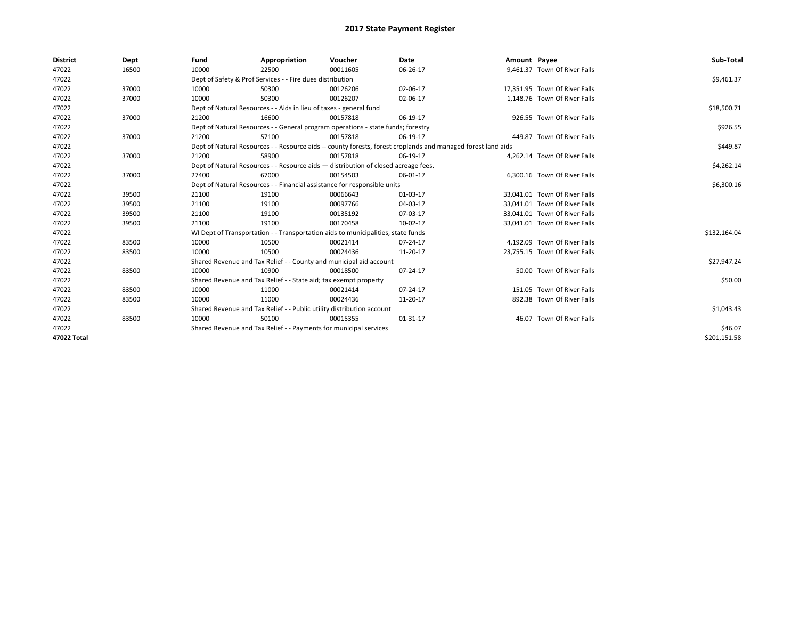| <b>District</b> | Dept  | Fund  | Appropriation                                                                      | Voucher  | Date                                                                                                         | Amount Payee |                               | Sub-Total    |
|-----------------|-------|-------|------------------------------------------------------------------------------------|----------|--------------------------------------------------------------------------------------------------------------|--------------|-------------------------------|--------------|
| 47022           | 16500 | 10000 | 22500                                                                              | 00011605 | 06-26-17                                                                                                     |              | 9,461.37 Town Of River Falls  |              |
| 47022           |       |       | Dept of Safety & Prof Services - - Fire dues distribution                          |          |                                                                                                              |              |                               | \$9,461.37   |
| 47022           | 37000 | 10000 | 50300                                                                              | 00126206 | 02-06-17                                                                                                     |              | 17,351.95 Town Of River Falls |              |
| 47022           | 37000 | 10000 | 50300                                                                              | 00126207 | 02-06-17                                                                                                     |              | 1,148.76 Town Of River Falls  |              |
| 47022           |       |       | Dept of Natural Resources - - Aids in lieu of taxes - general fund                 |          |                                                                                                              |              |                               | \$18,500.71  |
| 47022           | 37000 | 21200 | 16600                                                                              | 00157818 | 06-19-17                                                                                                     |              | 926.55 Town Of River Falls    |              |
| 47022           |       |       | Dept of Natural Resources - - General program operations - state funds; forestry   |          |                                                                                                              |              |                               | \$926.55     |
| 47022           | 37000 | 21200 | 57100                                                                              | 00157818 | 06-19-17                                                                                                     |              | 449.87 Town Of River Falls    |              |
| 47022           |       |       |                                                                                    |          | Dept of Natural Resources - - Resource aids -- county forests, forest croplands and managed forest land aids |              |                               | \$449.87     |
| 47022           | 37000 | 21200 | 58900                                                                              | 00157818 | 06-19-17                                                                                                     |              | 4,262.14 Town Of River Falls  |              |
| 47022           |       |       | Dept of Natural Resources - - Resource aids - distribution of closed acreage fees. |          |                                                                                                              |              |                               | \$4,262.14   |
| 47022           | 37000 | 27400 | 67000                                                                              | 00154503 | 06-01-17                                                                                                     |              | 6,300.16 Town Of River Falls  |              |
| 47022           |       |       | Dept of Natural Resources - - Financial assistance for responsible units           |          |                                                                                                              |              |                               | \$6,300.16   |
| 47022           | 39500 | 21100 | 19100                                                                              | 00066643 | 01-03-17                                                                                                     |              | 33.041.01 Town Of River Falls |              |
| 47022           | 39500 | 21100 | 19100                                                                              | 00097766 | 04-03-17                                                                                                     |              | 33,041.01 Town Of River Falls |              |
| 47022           | 39500 | 21100 | 19100                                                                              | 00135192 | 07-03-17                                                                                                     |              | 33.041.01 Town Of River Falls |              |
| 47022           | 39500 | 21100 | 19100                                                                              | 00170458 | 10-02-17                                                                                                     |              | 33,041.01 Town Of River Falls |              |
| 47022           |       |       | WI Dept of Transportation - - Transportation aids to municipalities, state funds   |          |                                                                                                              |              |                               | \$132,164.04 |
| 47022           | 83500 | 10000 | 10500                                                                              | 00021414 | 07-24-17                                                                                                     |              | 4.192.09 Town Of River Falls  |              |
| 47022           | 83500 | 10000 | 10500                                                                              | 00024436 | 11-20-17                                                                                                     |              | 23,755.15 Town Of River Falls |              |
| 47022           |       |       | Shared Revenue and Tax Relief - - County and municipal aid account                 |          |                                                                                                              |              |                               | \$27,947.24  |
| 47022           | 83500 | 10000 | 10900                                                                              | 00018500 | 07-24-17                                                                                                     |              | 50.00 Town Of River Falls     |              |
| 47022           |       |       | Shared Revenue and Tax Relief - - State aid; tax exempt property                   |          |                                                                                                              |              |                               | \$50.00      |
| 47022           | 83500 | 10000 | 11000                                                                              | 00021414 | 07-24-17                                                                                                     |              | 151.05 Town Of River Falls    |              |
| 47022           | 83500 | 10000 | 11000                                                                              | 00024436 | 11-20-17                                                                                                     |              | 892.38 Town Of River Falls    |              |
| 47022           |       |       | Shared Revenue and Tax Relief - - Public utility distribution account              |          |                                                                                                              |              |                               | \$1,043.43   |
| 47022           | 83500 | 10000 | 50100                                                                              | 00015355 | 01-31-17                                                                                                     |              | 46.07 Town Of River Falls     |              |
| 47022           |       |       | Shared Revenue and Tax Relief - - Payments for municipal services                  |          |                                                                                                              |              |                               | \$46.07      |
| 47022 Total     |       |       |                                                                                    |          |                                                                                                              |              |                               | \$201,151.58 |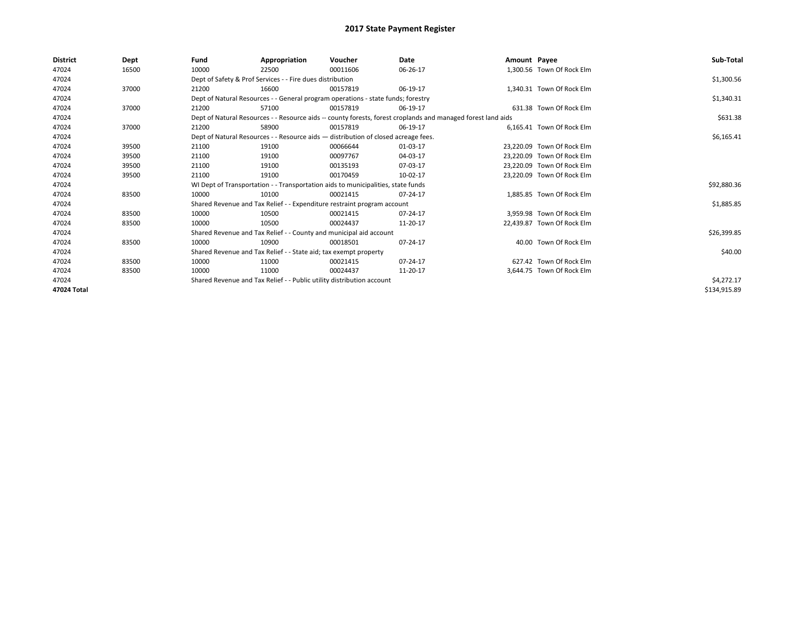| <b>District</b> | Dept  | Fund  | Appropriation                                                                      | Voucher  | Date                                                                                                         | Amount Payee |                            | Sub-Total    |
|-----------------|-------|-------|------------------------------------------------------------------------------------|----------|--------------------------------------------------------------------------------------------------------------|--------------|----------------------------|--------------|
| 47024           | 16500 | 10000 | 22500                                                                              | 00011606 | 06-26-17                                                                                                     |              | 1,300.56 Town Of Rock Elm  |              |
| 47024           |       |       | Dept of Safety & Prof Services - - Fire dues distribution                          |          |                                                                                                              |              |                            | \$1,300.56   |
| 47024           | 37000 | 21200 | 16600                                                                              | 00157819 | 06-19-17                                                                                                     |              | 1,340.31 Town Of Rock Elm  |              |
| 47024           |       |       | Dept of Natural Resources - - General program operations - state funds; forestry   |          |                                                                                                              |              |                            | \$1,340.31   |
| 47024           | 37000 | 21200 | 57100                                                                              | 00157819 | 06-19-17                                                                                                     |              | 631.38 Town Of Rock Elm    |              |
| 47024           |       |       |                                                                                    |          | Dept of Natural Resources - - Resource aids -- county forests, forest croplands and managed forest land aids |              |                            | \$631.38     |
| 47024           | 37000 | 21200 | 58900                                                                              | 00157819 | 06-19-17                                                                                                     |              | 6.165.41 Town Of Rock Elm  |              |
| 47024           |       |       | Dept of Natural Resources - - Resource aids - distribution of closed acreage fees. |          |                                                                                                              |              |                            | \$6,165.41   |
| 47024           | 39500 | 21100 | 19100                                                                              | 00066644 | 01-03-17                                                                                                     |              | 23,220.09 Town Of Rock Elm |              |
| 47024           | 39500 | 21100 | 19100                                                                              | 00097767 | 04-03-17                                                                                                     |              | 23,220.09 Town Of Rock Elm |              |
| 47024           | 39500 | 21100 | 19100                                                                              | 00135193 | 07-03-17                                                                                                     |              | 23.220.09 Town Of Rock Elm |              |
| 47024           | 39500 | 21100 | 19100                                                                              | 00170459 | 10-02-17                                                                                                     |              | 23,220.09 Town Of Rock Elm |              |
| 47024           |       |       | WI Dept of Transportation - - Transportation aids to municipalities, state funds   |          |                                                                                                              |              |                            | \$92,880.36  |
| 47024           | 83500 | 10000 | 10100                                                                              | 00021415 | 07-24-17                                                                                                     |              | 1,885.85 Town Of Rock Elm  |              |
| 47024           |       |       | Shared Revenue and Tax Relief - - Expenditure restraint program account            |          |                                                                                                              |              |                            | \$1,885.85   |
| 47024           | 83500 | 10000 | 10500                                                                              | 00021415 | 07-24-17                                                                                                     |              | 3.959.98 Town Of Rock Elm  |              |
| 47024           | 83500 | 10000 | 10500                                                                              | 00024437 | 11-20-17                                                                                                     |              | 22,439.87 Town Of Rock Elm |              |
| 47024           |       |       | Shared Revenue and Tax Relief - - County and municipal aid account                 |          |                                                                                                              |              |                            | \$26,399.85  |
| 47024           | 83500 | 10000 | 10900                                                                              | 00018501 | 07-24-17                                                                                                     |              | 40.00 Town Of Rock Elm     |              |
| 47024           |       |       | Shared Revenue and Tax Relief - - State aid; tax exempt property                   |          |                                                                                                              |              |                            | \$40.00      |
| 47024           | 83500 | 10000 | 11000                                                                              | 00021415 | 07-24-17                                                                                                     |              | 627.42 Town Of Rock Elm    |              |
| 47024           | 83500 | 10000 | 11000                                                                              | 00024437 | 11-20-17                                                                                                     |              | 3,644.75 Town Of Rock Elm  |              |
| 47024           |       |       | Shared Revenue and Tax Relief - - Public utility distribution account              |          |                                                                                                              |              |                            | \$4,272.17   |
| 47024 Total     |       |       |                                                                                    |          |                                                                                                              |              |                            | \$134,915.89 |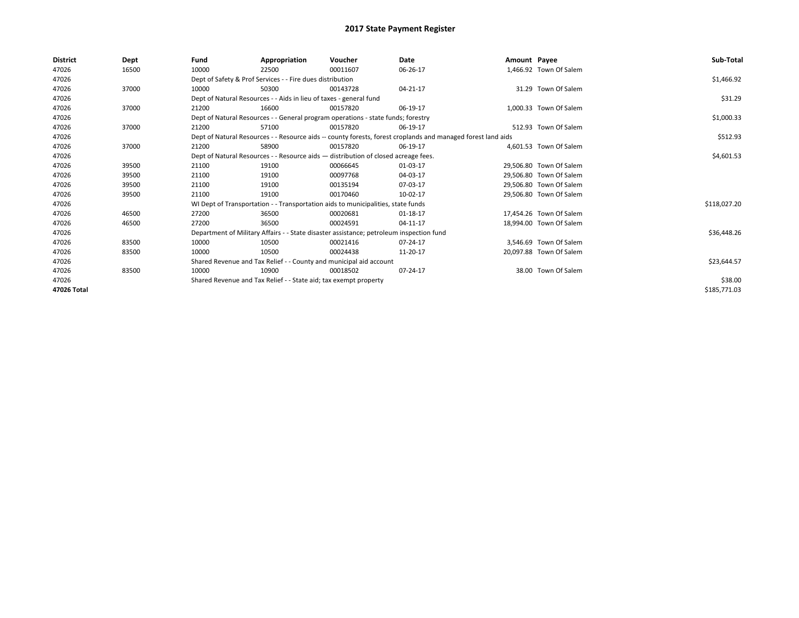| <b>District</b> | Dept  | Fund  | Appropriation                                                                           | Voucher  | Date                                                                                                         | Amount Payee |                         | Sub-Total    |
|-----------------|-------|-------|-----------------------------------------------------------------------------------------|----------|--------------------------------------------------------------------------------------------------------------|--------------|-------------------------|--------------|
| 47026           | 16500 | 10000 | 22500                                                                                   | 00011607 | 06-26-17                                                                                                     |              | 1,466.92 Town Of Salem  |              |
| 47026           |       |       | Dept of Safety & Prof Services - - Fire dues distribution                               |          |                                                                                                              |              |                         | \$1,466.92   |
| 47026           | 37000 | 10000 | 50300                                                                                   | 00143728 | 04-21-17                                                                                                     |              | 31.29 Town Of Salem     |              |
| 47026           |       |       | Dept of Natural Resources - - Aids in lieu of taxes - general fund                      |          |                                                                                                              |              |                         | \$31.29      |
| 47026           | 37000 | 21200 | 16600                                                                                   | 00157820 | 06-19-17                                                                                                     |              | 1,000.33 Town Of Salem  |              |
| 47026           |       |       | Dept of Natural Resources - - General program operations - state funds; forestry        |          |                                                                                                              |              |                         | \$1,000.33   |
| 47026           | 37000 | 21200 | 57100                                                                                   | 00157820 | 06-19-17                                                                                                     |              | 512.93 Town Of Salem    |              |
| 47026           |       |       |                                                                                         |          | Dept of Natural Resources - - Resource aids -- county forests, forest croplands and managed forest land aids |              |                         | \$512.93     |
| 47026           | 37000 | 21200 | 58900                                                                                   | 00157820 | 06-19-17                                                                                                     |              | 4.601.53 Town Of Salem  |              |
| 47026           |       |       | Dept of Natural Resources - - Resource aids - distribution of closed acreage fees.      |          |                                                                                                              |              |                         | \$4,601.53   |
| 47026           | 39500 | 21100 | 19100                                                                                   | 00066645 | 01-03-17                                                                                                     |              | 29,506.80 Town Of Salem |              |
| 47026           | 39500 | 21100 | 19100                                                                                   | 00097768 | 04-03-17                                                                                                     |              | 29.506.80 Town Of Salem |              |
| 47026           | 39500 | 21100 | 19100                                                                                   | 00135194 | 07-03-17                                                                                                     |              | 29.506.80 Town Of Salem |              |
| 47026           | 39500 | 21100 | 19100                                                                                   | 00170460 | 10-02-17                                                                                                     |              | 29,506.80 Town Of Salem |              |
| 47026           |       |       | WI Dept of Transportation - - Transportation aids to municipalities, state funds        |          |                                                                                                              |              |                         | \$118,027.20 |
| 47026           | 46500 | 27200 | 36500                                                                                   | 00020681 | 01-18-17                                                                                                     |              | 17.454.26 Town Of Salem |              |
| 47026           | 46500 | 27200 | 36500                                                                                   | 00024591 | 04-11-17                                                                                                     |              | 18.994.00 Town Of Salem |              |
| 47026           |       |       | Department of Military Affairs - - State disaster assistance; petroleum inspection fund |          |                                                                                                              |              |                         | \$36,448.26  |
| 47026           | 83500 | 10000 | 10500                                                                                   | 00021416 | 07-24-17                                                                                                     |              | 3.546.69 Town Of Salem  |              |
| 47026           | 83500 | 10000 | 10500                                                                                   | 00024438 | 11-20-17                                                                                                     |              | 20.097.88 Town Of Salem |              |
| 47026           |       |       | Shared Revenue and Tax Relief - - County and municipal aid account                      |          |                                                                                                              |              |                         | \$23,644.57  |
| 47026           | 83500 | 10000 | 10900                                                                                   | 00018502 | 07-24-17                                                                                                     |              | 38.00 Town Of Salem     |              |
| 47026           |       |       | Shared Revenue and Tax Relief - - State aid; tax exempt property                        |          |                                                                                                              |              |                         | \$38.00      |
| 47026 Total     |       |       |                                                                                         |          |                                                                                                              |              |                         | \$185,771.03 |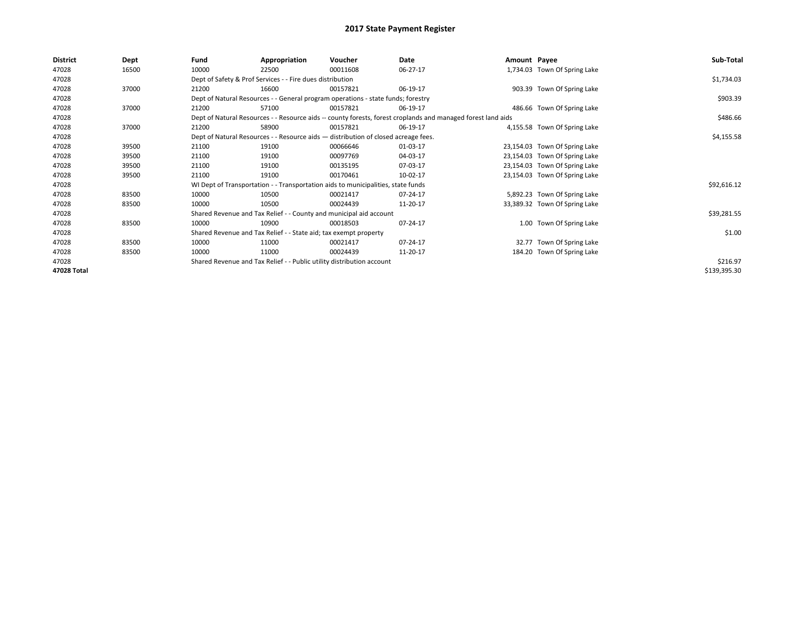| <b>District</b> | Dept  | Fund  | Appropriation                                                                      | Voucher  | Date                                                                                                         | Amount Payee |                               | Sub-Total    |
|-----------------|-------|-------|------------------------------------------------------------------------------------|----------|--------------------------------------------------------------------------------------------------------------|--------------|-------------------------------|--------------|
| 47028           | 16500 | 10000 | 22500                                                                              | 00011608 | 06-27-17                                                                                                     |              | 1,734.03 Town Of Spring Lake  |              |
| 47028           |       |       | Dept of Safety & Prof Services - - Fire dues distribution                          |          |                                                                                                              |              |                               | \$1,734.03   |
| 47028           | 37000 | 21200 | 16600                                                                              | 00157821 | 06-19-17                                                                                                     |              | 903.39 Town Of Spring Lake    |              |
| 47028           |       |       | Dept of Natural Resources - - General program operations - state funds; forestry   |          |                                                                                                              |              |                               | \$903.39     |
| 47028           | 37000 | 21200 | 57100                                                                              | 00157821 | 06-19-17                                                                                                     |              | 486.66 Town Of Spring Lake    |              |
| 47028           |       |       |                                                                                    |          | Dept of Natural Resources - - Resource aids -- county forests, forest croplands and managed forest land aids |              |                               | \$486.66     |
| 47028           | 37000 | 21200 | 58900                                                                              | 00157821 | 06-19-17                                                                                                     |              | 4,155.58 Town Of Spring Lake  |              |
| 47028           |       |       | Dept of Natural Resources - - Resource aids - distribution of closed acreage fees. |          |                                                                                                              |              |                               | \$4,155.58   |
| 47028           | 39500 | 21100 | 19100                                                                              | 00066646 | 01-03-17                                                                                                     |              | 23,154.03 Town Of Spring Lake |              |
| 47028           | 39500 | 21100 | 19100                                                                              | 00097769 | 04-03-17                                                                                                     |              | 23,154.03 Town Of Spring Lake |              |
| 47028           | 39500 | 21100 | 19100                                                                              | 00135195 | 07-03-17                                                                                                     |              | 23,154.03 Town Of Spring Lake |              |
| 47028           | 39500 | 21100 | 19100                                                                              | 00170461 | 10-02-17                                                                                                     |              | 23,154.03 Town Of Spring Lake |              |
| 47028           |       |       | WI Dept of Transportation - - Transportation aids to municipalities, state funds   |          |                                                                                                              |              |                               | \$92,616.12  |
| 47028           | 83500 | 10000 | 10500                                                                              | 00021417 | 07-24-17                                                                                                     |              | 5,892.23 Town Of Spring Lake  |              |
| 47028           | 83500 | 10000 | 10500                                                                              | 00024439 | 11-20-17                                                                                                     |              | 33,389.32 Town Of Spring Lake |              |
| 47028           |       |       | Shared Revenue and Tax Relief - - County and municipal aid account                 |          |                                                                                                              |              |                               | \$39,281.55  |
| 47028           | 83500 | 10000 | 10900                                                                              | 00018503 | 07-24-17                                                                                                     |              | 1.00 Town Of Spring Lake      |              |
| 47028           |       |       | Shared Revenue and Tax Relief - - State aid; tax exempt property                   |          |                                                                                                              |              |                               | \$1.00       |
| 47028           | 83500 | 10000 | 11000                                                                              | 00021417 | 07-24-17                                                                                                     |              | 32.77 Town Of Spring Lake     |              |
| 47028           | 83500 | 10000 | 11000                                                                              | 00024439 | 11-20-17                                                                                                     |              | 184.20 Town Of Spring Lake    |              |
| 47028           |       |       | Shared Revenue and Tax Relief - - Public utility distribution account              |          |                                                                                                              |              |                               | \$216.97     |
| 47028 Total     |       |       |                                                                                    |          |                                                                                                              |              |                               | \$139,395.30 |
|                 |       |       |                                                                                    |          |                                                                                                              |              |                               |              |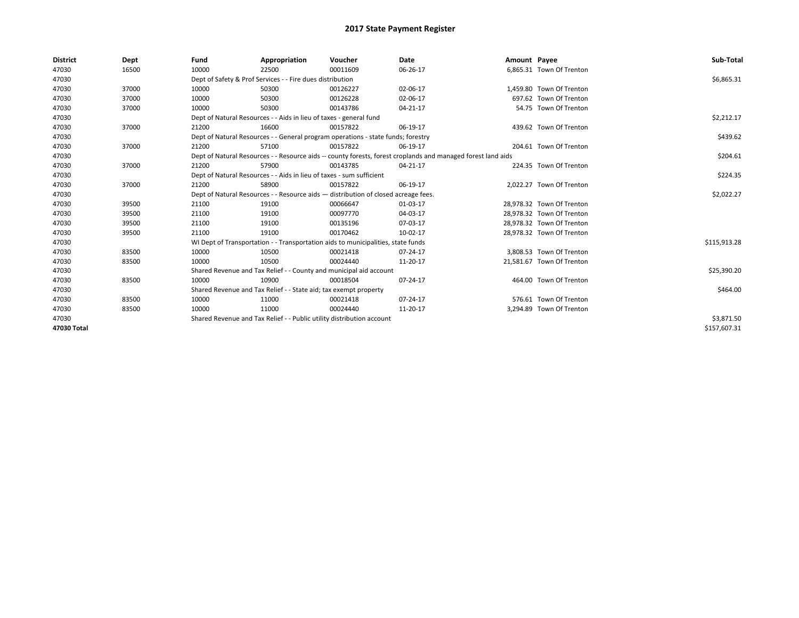| <b>District</b> | Dept  | Fund  | Appropriation                                                                                                | Voucher  | Date     | Amount Payee |                           | Sub-Total    |
|-----------------|-------|-------|--------------------------------------------------------------------------------------------------------------|----------|----------|--------------|---------------------------|--------------|
| 47030           | 16500 | 10000 | 22500                                                                                                        | 00011609 | 06-26-17 |              | 6,865.31 Town Of Trenton  |              |
| 47030           |       |       | Dept of Safety & Prof Services - - Fire dues distribution                                                    |          |          |              |                           | \$6,865.31   |
| 47030           | 37000 | 10000 | 50300                                                                                                        | 00126227 | 02-06-17 |              | 1,459.80 Town Of Trenton  |              |
| 47030           | 37000 | 10000 | 50300                                                                                                        | 00126228 | 02-06-17 |              | 697.62 Town Of Trenton    |              |
| 47030           | 37000 | 10000 | 50300                                                                                                        | 00143786 | 04-21-17 |              | 54.75 Town Of Trenton     |              |
| 47030           |       |       | Dept of Natural Resources - - Aids in lieu of taxes - general fund                                           |          |          |              |                           | \$2,212.17   |
| 47030           | 37000 | 21200 | 16600                                                                                                        | 00157822 | 06-19-17 |              | 439.62 Town Of Trenton    |              |
| 47030           |       |       | Dept of Natural Resources - - General program operations - state funds; forestry                             |          |          |              |                           | \$439.62     |
| 47030           | 37000 | 21200 | 57100                                                                                                        | 00157822 | 06-19-17 |              | 204.61 Town Of Trenton    |              |
| 47030           |       |       | Dept of Natural Resources - - Resource aids -- county forests, forest croplands and managed forest land aids |          |          |              |                           | \$204.61     |
| 47030           | 37000 | 21200 | 57900                                                                                                        | 00143785 | 04-21-17 |              | 224.35 Town Of Trenton    |              |
| 47030           |       |       | Dept of Natural Resources - - Aids in lieu of taxes - sum sufficient                                         |          |          |              |                           | \$224.35     |
| 47030           | 37000 | 21200 | 58900                                                                                                        | 00157822 | 06-19-17 |              | 2,022.27 Town Of Trenton  |              |
| 47030           |       |       | Dept of Natural Resources - - Resource aids - distribution of closed acreage fees.                           |          |          |              |                           | \$2,022.27   |
| 47030           | 39500 | 21100 | 19100                                                                                                        | 00066647 | 01-03-17 |              | 28,978.32 Town Of Trenton |              |
| 47030           | 39500 | 21100 | 19100                                                                                                        | 00097770 | 04-03-17 |              | 28.978.32 Town Of Trenton |              |
| 47030           | 39500 | 21100 | 19100                                                                                                        | 00135196 | 07-03-17 |              | 28,978.32 Town Of Trenton |              |
| 47030           | 39500 | 21100 | 19100                                                                                                        | 00170462 | 10-02-17 |              | 28,978.32 Town Of Trenton |              |
| 47030           |       |       | WI Dept of Transportation - - Transportation aids to municipalities, state funds                             |          |          |              |                           | \$115,913.28 |
| 47030           | 83500 | 10000 | 10500                                                                                                        | 00021418 | 07-24-17 |              | 3,808.53 Town Of Trenton  |              |
| 47030           | 83500 | 10000 | 10500                                                                                                        | 00024440 | 11-20-17 |              | 21,581.67 Town Of Trenton |              |
| 47030           |       |       | Shared Revenue and Tax Relief - - County and municipal aid account                                           |          |          |              |                           | \$25,390.20  |
| 47030           | 83500 | 10000 | 10900                                                                                                        | 00018504 | 07-24-17 |              | 464.00 Town Of Trenton    |              |
| 47030           |       |       | Shared Revenue and Tax Relief - - State aid; tax exempt property                                             |          |          |              |                           | \$464.00     |
| 47030           | 83500 | 10000 | 11000                                                                                                        | 00021418 | 07-24-17 |              | 576.61 Town Of Trenton    |              |
| 47030           | 83500 | 10000 | 11000                                                                                                        | 00024440 | 11-20-17 |              | 3,294.89 Town Of Trenton  |              |
| 47030           |       |       | Shared Revenue and Tax Relief - - Public utility distribution account                                        |          |          |              |                           | \$3,871.50   |
| 47030 Total     |       |       |                                                                                                              |          |          |              |                           | \$157,607.31 |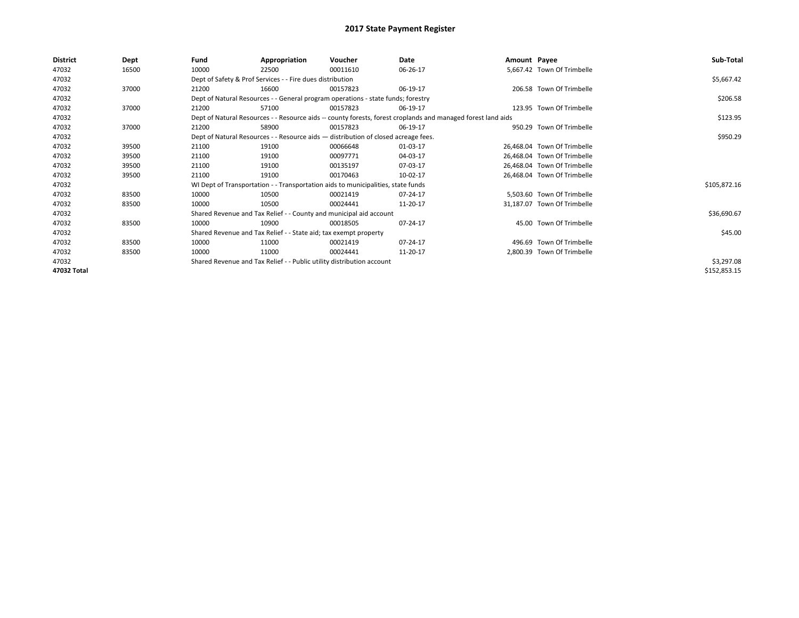| 47032<br>5,667.42 Town Of Trimbelle<br>16500<br>10000<br>00011610<br>06-26-17<br>22500<br>Dept of Safety & Prof Services - - Fire dues distribution<br>47032<br>47032<br>206.58 Town Of Trimbelle<br>37000<br>21200<br>16600<br>06-19-17<br>00157823<br>47032<br>Dept of Natural Resources - - General program operations - state funds; forestry | \$5,667.42<br>\$206.58<br>\$123.95 |
|---------------------------------------------------------------------------------------------------------------------------------------------------------------------------------------------------------------------------------------------------------------------------------------------------------------------------------------------------|------------------------------------|
|                                                                                                                                                                                                                                                                                                                                                   |                                    |
|                                                                                                                                                                                                                                                                                                                                                   |                                    |
|                                                                                                                                                                                                                                                                                                                                                   |                                    |
|                                                                                                                                                                                                                                                                                                                                                   |                                    |
| 47032<br>37000<br>123.95 Town Of Trimbelle<br>21200<br>57100<br>00157823<br>06-19-17                                                                                                                                                                                                                                                              |                                    |
| 47032<br>Dept of Natural Resources - - Resource aids -- county forests, forest croplands and managed forest land aids                                                                                                                                                                                                                             |                                    |
| 47032<br>37000<br>950.29 Town Of Trimbelle<br>21200<br>58900<br>06-19-17<br>00157823                                                                                                                                                                                                                                                              |                                    |
| 47032<br>Dept of Natural Resources - - Resource aids - distribution of closed acreage fees.                                                                                                                                                                                                                                                       | \$950.29                           |
| 47032<br>39500<br>01-03-17<br>26,468.04 Town Of Trimbelle<br>21100<br>19100<br>00066648                                                                                                                                                                                                                                                           |                                    |
| 47032<br>21100<br>00097771<br>04-03-17<br>26,468.04 Town Of Trimbelle<br>39500<br>19100                                                                                                                                                                                                                                                           |                                    |
| 47032<br>21100<br>07-03-17<br>26,468.04 Town Of Trimbelle<br>39500<br>19100<br>00135197                                                                                                                                                                                                                                                           |                                    |
| 47032<br>21100<br>19100<br>10-02-17<br>26,468.04 Town Of Trimbelle<br>39500<br>00170463                                                                                                                                                                                                                                                           |                                    |
| 47032<br>WI Dept of Transportation - - Transportation aids to municipalities, state funds                                                                                                                                                                                                                                                         | \$105,872.16                       |
| 47032<br>83500<br>10000<br>07-24-17<br>5,503.60 Town Of Trimbelle<br>10500<br>00021419                                                                                                                                                                                                                                                            |                                    |
| 47032<br>83500<br>10000<br>10500<br>00024441<br>11-20-17<br>31,187.07 Town Of Trimbelle                                                                                                                                                                                                                                                           |                                    |
| 47032<br>Shared Revenue and Tax Relief - - County and municipal aid account                                                                                                                                                                                                                                                                       | \$36,690.67                        |
| 45.00 Town Of Trimbelle<br>47032<br>83500<br>10000<br>10900<br>07-24-17<br>00018505                                                                                                                                                                                                                                                               |                                    |
| 47032<br>Shared Revenue and Tax Relief - - State aid; tax exempt property                                                                                                                                                                                                                                                                         | \$45.00                            |
| 47032<br>83500<br>07-24-17<br>496.69 Town Of Trimbelle<br>10000<br>11000<br>00021419                                                                                                                                                                                                                                                              |                                    |
| 47032<br>10000<br>11000<br>2,800.39 Town Of Trimbelle<br>83500<br>00024441<br>11-20-17                                                                                                                                                                                                                                                            |                                    |
| Shared Revenue and Tax Relief - - Public utility distribution account<br>47032                                                                                                                                                                                                                                                                    | \$3,297.08                         |
| 47032 Total                                                                                                                                                                                                                                                                                                                                       | \$152,853.15                       |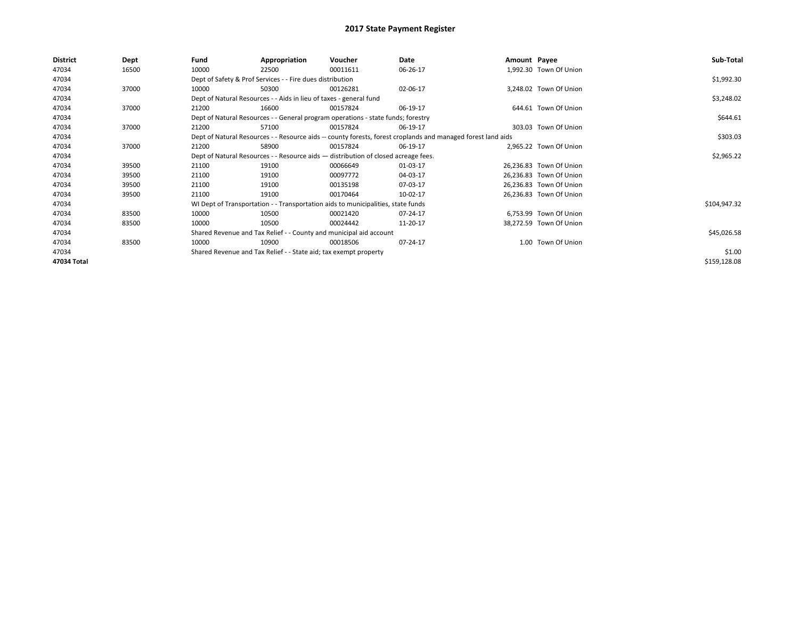| <b>District</b> | Dept  | Fund  | Appropriation                                                                      | Voucher  | Date                                                                                                         | Amount Payee |                         | Sub-Total    |
|-----------------|-------|-------|------------------------------------------------------------------------------------|----------|--------------------------------------------------------------------------------------------------------------|--------------|-------------------------|--------------|
| 47034           | 16500 | 10000 | 22500                                                                              | 00011611 | 06-26-17                                                                                                     |              | 1,992.30 Town Of Union  |              |
| 47034           |       |       | Dept of Safety & Prof Services - - Fire dues distribution                          |          |                                                                                                              |              |                         | \$1,992.30   |
| 47034           | 37000 | 10000 | 50300                                                                              | 00126281 | 02-06-17                                                                                                     |              | 3,248.02 Town Of Union  |              |
| 47034           |       |       | Dept of Natural Resources - - Aids in lieu of taxes - general fund                 |          |                                                                                                              |              |                         | \$3,248.02   |
| 47034           | 37000 | 21200 | 16600                                                                              | 00157824 | 06-19-17                                                                                                     |              | 644.61 Town Of Union    |              |
| 47034           |       |       | Dept of Natural Resources - - General program operations - state funds; forestry   |          |                                                                                                              |              |                         | \$644.61     |
| 47034           | 37000 | 21200 | 57100                                                                              | 00157824 | 06-19-17                                                                                                     |              | 303.03 Town Of Union    |              |
| 47034           |       |       |                                                                                    |          | Dept of Natural Resources - - Resource aids -- county forests, forest croplands and managed forest land aids |              |                         | \$303.03     |
| 47034           | 37000 | 21200 | 58900                                                                              | 00157824 | 06-19-17                                                                                                     |              | 2,965.22 Town Of Union  |              |
| 47034           |       |       | Dept of Natural Resources - - Resource aids - distribution of closed acreage fees. |          |                                                                                                              |              |                         | \$2,965.22   |
| 47034           | 39500 | 21100 | 19100                                                                              | 00066649 | 01-03-17                                                                                                     |              | 26,236.83 Town Of Union |              |
| 47034           | 39500 | 21100 | 19100                                                                              | 00097772 | 04-03-17                                                                                                     |              | 26,236.83 Town Of Union |              |
| 47034           | 39500 | 21100 | 19100                                                                              | 00135198 | 07-03-17                                                                                                     |              | 26,236.83 Town Of Union |              |
| 47034           | 39500 | 21100 | 19100                                                                              | 00170464 | 10-02-17                                                                                                     |              | 26,236.83 Town Of Union |              |
| 47034           |       |       | WI Dept of Transportation - - Transportation aids to municipalities, state funds   |          |                                                                                                              |              |                         | \$104,947.32 |
| 47034           | 83500 | 10000 | 10500                                                                              | 00021420 | 07-24-17                                                                                                     |              | 6,753.99 Town Of Union  |              |
| 47034           | 83500 | 10000 | 10500                                                                              | 00024442 | 11-20-17                                                                                                     |              | 38,272.59 Town Of Union |              |
| 47034           |       |       | Shared Revenue and Tax Relief - - County and municipal aid account                 |          |                                                                                                              |              |                         | \$45,026.58  |
| 47034           | 83500 | 10000 | 10900                                                                              | 00018506 | 07-24-17                                                                                                     |              | 1.00 Town Of Union      |              |
| 47034           |       |       | Shared Revenue and Tax Relief - - State aid; tax exempt property                   |          |                                                                                                              |              |                         | \$1.00       |
| 47034 Total     |       |       |                                                                                    |          |                                                                                                              |              |                         | \$159,128.08 |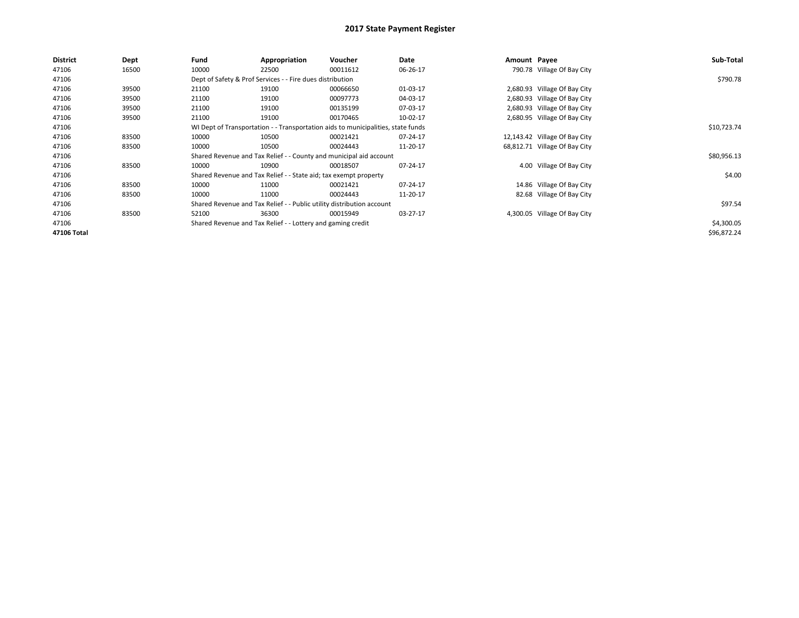| <b>District</b> | Dept  | Fund  | Appropriation                                                                    | Voucher  | Date     | Amount Payee |                               | Sub-Total   |
|-----------------|-------|-------|----------------------------------------------------------------------------------|----------|----------|--------------|-------------------------------|-------------|
| 47106           | 16500 | 10000 | 22500                                                                            | 00011612 | 06-26-17 |              | 790.78 Village Of Bay City    |             |
| 47106           |       |       | Dept of Safety & Prof Services - - Fire dues distribution                        |          |          |              |                               | \$790.78    |
| 47106           | 39500 | 21100 | 19100                                                                            | 00066650 | 01-03-17 |              | 2,680.93 Village Of Bay City  |             |
| 47106           | 39500 | 21100 | 19100                                                                            | 00097773 | 04-03-17 |              | 2,680.93 Village Of Bay City  |             |
| 47106           | 39500 | 21100 | 19100                                                                            | 00135199 | 07-03-17 |              | 2,680.93 Village Of Bay City  |             |
| 47106           | 39500 | 21100 | 19100                                                                            | 00170465 | 10-02-17 |              | 2,680.95 Village Of Bay City  |             |
| 47106           |       |       | WI Dept of Transportation - - Transportation aids to municipalities, state funds |          |          |              |                               | \$10,723.74 |
| 47106           | 83500 | 10000 | 10500                                                                            | 00021421 | 07-24-17 |              | 12,143.42 Village Of Bay City |             |
| 47106           | 83500 | 10000 | 10500                                                                            | 00024443 | 11-20-17 |              | 68,812.71 Village Of Bay City |             |
| 47106           |       |       | Shared Revenue and Tax Relief - - County and municipal aid account               |          |          |              |                               | \$80,956.13 |
| 47106           | 83500 | 10000 | 10900                                                                            | 00018507 | 07-24-17 |              | 4.00 Village Of Bay City      |             |
| 47106           |       |       | Shared Revenue and Tax Relief - - State aid; tax exempt property                 |          |          |              |                               | \$4.00      |
| 47106           | 83500 | 10000 | 11000                                                                            | 00021421 | 07-24-17 |              | 14.86 Village Of Bay City     |             |
| 47106           | 83500 | 10000 | 11000                                                                            | 00024443 | 11-20-17 |              | 82.68 Village Of Bay City     |             |
| 47106           |       |       | Shared Revenue and Tax Relief - - Public utility distribution account            |          |          |              |                               | \$97.54     |
| 47106           | 83500 | 52100 | 36300                                                                            | 00015949 | 03-27-17 |              | 4,300.05 Village Of Bay City  |             |
| 47106           |       |       | Shared Revenue and Tax Relief - - Lottery and gaming credit                      |          |          |              |                               | \$4,300.05  |
| 47106 Total     |       |       |                                                                                  |          |          |              |                               | \$96,872.24 |
|                 |       |       |                                                                                  |          |          |              |                               |             |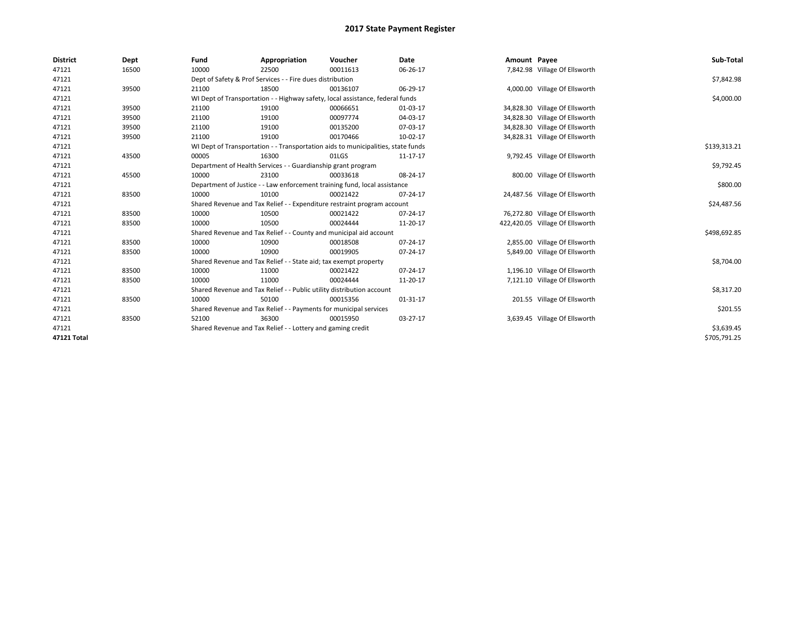| <b>District</b> | Dept  | Fund  | Appropriation                                                         | Voucher                                                                          | Date     | Amount Payee |                                 | Sub-Total    |
|-----------------|-------|-------|-----------------------------------------------------------------------|----------------------------------------------------------------------------------|----------|--------------|---------------------------------|--------------|
| 47121           | 16500 | 10000 | 22500                                                                 | 00011613                                                                         | 06-26-17 |              | 7,842.98 Village Of Ellsworth   |              |
| 47121           |       |       | Dept of Safety & Prof Services - - Fire dues distribution             |                                                                                  |          |              |                                 | \$7,842.98   |
| 47121           | 39500 | 21100 | 18500                                                                 | 00136107                                                                         | 06-29-17 |              | 4,000.00 Village Of Ellsworth   |              |
| 47121           |       |       |                                                                       | WI Dept of Transportation - - Highway safety, local assistance, federal funds    |          |              |                                 | \$4,000.00   |
| 47121           | 39500 | 21100 | 19100                                                                 | 00066651                                                                         | 01-03-17 |              | 34,828.30 Village Of Ellsworth  |              |
| 47121           | 39500 | 21100 | 19100                                                                 | 00097774                                                                         | 04-03-17 |              | 34,828.30 Village Of Ellsworth  |              |
| 47121           | 39500 | 21100 | 19100                                                                 | 00135200                                                                         | 07-03-17 |              | 34,828.30 Village Of Ellsworth  |              |
| 47121           | 39500 | 21100 | 19100                                                                 | 00170466                                                                         | 10-02-17 |              | 34,828.31 Village Of Ellsworth  |              |
| 47121           |       |       |                                                                       | WI Dept of Transportation - - Transportation aids to municipalities, state funds |          |              |                                 | \$139,313.21 |
| 47121           | 43500 | 00005 | 16300                                                                 | 01LGS                                                                            | 11-17-17 |              | 9,792.45 Village Of Ellsworth   |              |
| 47121           |       |       | Department of Health Services - - Guardianship grant program          |                                                                                  |          |              |                                 | \$9,792.45   |
| 47121           | 45500 | 10000 | 23100                                                                 | 00033618                                                                         | 08-24-17 |              | 800.00 Village Of Ellsworth     |              |
| 47121           |       |       |                                                                       | Department of Justice - - Law enforcement training fund, local assistance        |          |              |                                 | \$800.00     |
| 47121           | 83500 | 10000 | 10100                                                                 | 00021422                                                                         | 07-24-17 |              | 24,487.56 Village Of Ellsworth  |              |
| 47121           |       |       |                                                                       | Shared Revenue and Tax Relief - - Expenditure restraint program account          |          |              |                                 | \$24,487.56  |
| 47121           | 83500 | 10000 | 10500                                                                 | 00021422                                                                         | 07-24-17 |              | 76,272.80 Village Of Ellsworth  |              |
| 47121           | 83500 | 10000 | 10500                                                                 | 00024444                                                                         | 11-20-17 |              | 422,420.05 Village Of Ellsworth |              |
| 47121           |       |       |                                                                       | Shared Revenue and Tax Relief - - County and municipal aid account               |          |              |                                 | \$498,692.85 |
| 47121           | 83500 | 10000 | 10900                                                                 | 00018508                                                                         | 07-24-17 |              | 2,855.00 Village Of Ellsworth   |              |
| 47121           | 83500 | 10000 | 10900                                                                 | 00019905                                                                         | 07-24-17 |              | 5,849.00 Village Of Ellsworth   |              |
| 47121           |       |       | Shared Revenue and Tax Relief - - State aid; tax exempt property      |                                                                                  |          |              |                                 | \$8,704.00   |
| 47121           | 83500 | 10000 | 11000                                                                 | 00021422                                                                         | 07-24-17 |              | 1,196.10 Village Of Ellsworth   |              |
| 47121           | 83500 | 10000 | 11000                                                                 | 00024444                                                                         | 11-20-17 |              | 7,121.10 Village Of Ellsworth   |              |
| 47121           |       |       | Shared Revenue and Tax Relief - - Public utility distribution account |                                                                                  |          |              |                                 | \$8,317.20   |
| 47121           | 83500 | 10000 | 50100                                                                 | 00015356                                                                         | 01-31-17 |              | 201.55 Village Of Ellsworth     |              |
| 47121           |       |       | Shared Revenue and Tax Relief - - Payments for municipal services     |                                                                                  |          |              |                                 | \$201.55     |
| 47121           | 83500 | 52100 | 36300                                                                 | 00015950                                                                         | 03-27-17 |              | 3,639.45 Village Of Ellsworth   |              |
| 47121           |       |       | Shared Revenue and Tax Relief - - Lottery and gaming credit           |                                                                                  |          |              |                                 | \$3,639.45   |
| 47121 Total     |       |       |                                                                       |                                                                                  |          |              |                                 | \$705,791.25 |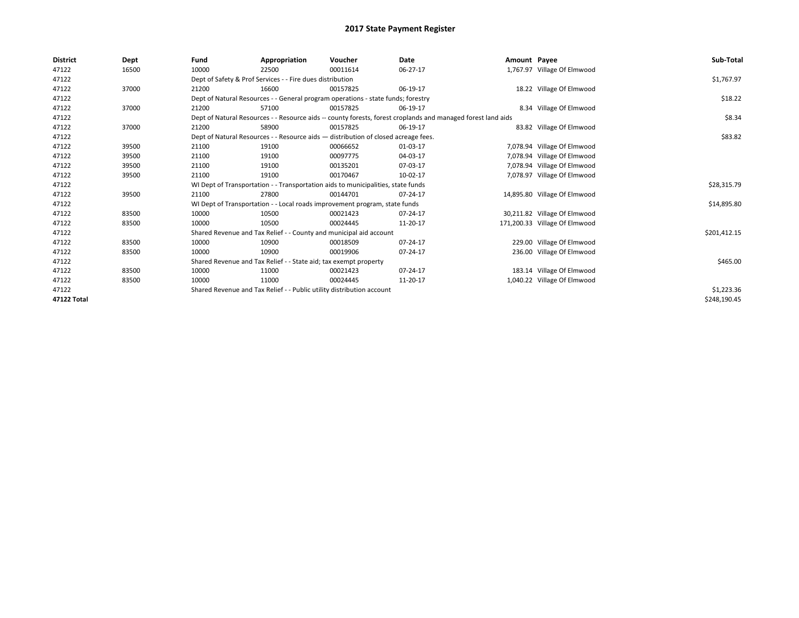| <b>District</b> | Dept  | Fund  | Appropriation                                                         | Voucher                                                                            | Date                                                                                                         | Amount Payee |                               | Sub-Total    |
|-----------------|-------|-------|-----------------------------------------------------------------------|------------------------------------------------------------------------------------|--------------------------------------------------------------------------------------------------------------|--------------|-------------------------------|--------------|
| 47122           | 16500 | 10000 | 22500                                                                 | 00011614                                                                           | 06-27-17                                                                                                     |              | 1,767.97 Village Of Elmwood   |              |
| 47122           |       |       | Dept of Safety & Prof Services - - Fire dues distribution             |                                                                                    |                                                                                                              |              |                               | \$1,767.97   |
| 47122           | 37000 | 21200 | 16600                                                                 | 00157825                                                                           | 06-19-17                                                                                                     |              | 18.22 Village Of Elmwood      |              |
| 47122           |       |       |                                                                       | Dept of Natural Resources - - General program operations - state funds; forestry   |                                                                                                              |              |                               | \$18.22      |
| 47122           | 37000 | 21200 | 57100                                                                 | 00157825                                                                           | 06-19-17                                                                                                     |              | 8.34 Village Of Elmwood       |              |
| 47122           |       |       |                                                                       |                                                                                    | Dept of Natural Resources - - Resource aids -- county forests, forest croplands and managed forest land aids |              |                               | \$8.34       |
| 47122           | 37000 | 21200 | 58900                                                                 | 00157825                                                                           | 06-19-17                                                                                                     |              | 83.82 Village Of Elmwood      |              |
| 47122           |       |       |                                                                       | Dept of Natural Resources - - Resource aids - distribution of closed acreage fees. |                                                                                                              |              |                               | \$83.82      |
| 47122           | 39500 | 21100 | 19100                                                                 | 00066652                                                                           | 01-03-17                                                                                                     |              | 7,078.94 Village Of Elmwood   |              |
| 47122           | 39500 | 21100 | 19100                                                                 | 00097775                                                                           | 04-03-17                                                                                                     |              | 7,078.94 Village Of Elmwood   |              |
| 47122           | 39500 | 21100 | 19100                                                                 | 00135201                                                                           | 07-03-17                                                                                                     |              | 7,078.94 Village Of Elmwood   |              |
| 47122           | 39500 | 21100 | 19100                                                                 | 00170467                                                                           | 10-02-17                                                                                                     |              | 7,078.97 Village Of Elmwood   |              |
| 47122           |       |       |                                                                       | WI Dept of Transportation - - Transportation aids to municipalities, state funds   |                                                                                                              |              |                               | \$28,315.79  |
| 47122           | 39500 | 21100 | 27800                                                                 | 00144701                                                                           | 07-24-17                                                                                                     |              | 14,895.80 Village Of Elmwood  |              |
| 47122           |       |       |                                                                       | WI Dept of Transportation - - Local roads improvement program, state funds         |                                                                                                              |              |                               | \$14,895.80  |
| 47122           | 83500 | 10000 | 10500                                                                 | 00021423                                                                           | 07-24-17                                                                                                     |              | 30,211.82 Village Of Elmwood  |              |
| 47122           | 83500 | 10000 | 10500                                                                 | 00024445                                                                           | 11-20-17                                                                                                     |              | 171,200.33 Village Of Elmwood |              |
| 47122           |       |       | Shared Revenue and Tax Relief - - County and municipal aid account    |                                                                                    |                                                                                                              |              |                               | \$201,412.15 |
| 47122           | 83500 | 10000 | 10900                                                                 | 00018509                                                                           | 07-24-17                                                                                                     |              | 229.00 Village Of Elmwood     |              |
| 47122           | 83500 | 10000 | 10900                                                                 | 00019906                                                                           | 07-24-17                                                                                                     |              | 236.00 Village Of Elmwood     |              |
| 47122           |       |       | Shared Revenue and Tax Relief - - State aid; tax exempt property      |                                                                                    |                                                                                                              |              |                               | \$465.00     |
| 47122           | 83500 | 10000 | 11000                                                                 | 00021423                                                                           | 07-24-17                                                                                                     |              | 183.14 Village Of Elmwood     |              |
| 47122           | 83500 | 10000 | 11000                                                                 | 00024445                                                                           | 11-20-17                                                                                                     |              | 1,040.22 Village Of Elmwood   |              |
| 47122           |       |       | Shared Revenue and Tax Relief - - Public utility distribution account |                                                                                    |                                                                                                              |              |                               | \$1,223.36   |
| 47122 Total     |       |       |                                                                       |                                                                                    |                                                                                                              |              |                               | \$248,190.45 |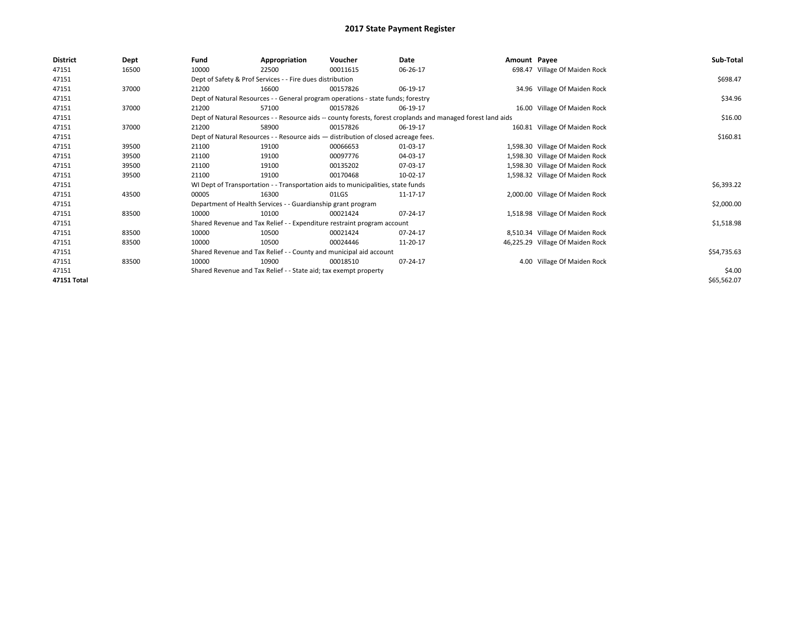| District    | Dept  | Fund                                                                             | Appropriation                                                                      | Voucher    | Date                                                                                                         | Amount Payee |                                  | Sub-Total   |  |
|-------------|-------|----------------------------------------------------------------------------------|------------------------------------------------------------------------------------|------------|--------------------------------------------------------------------------------------------------------------|--------------|----------------------------------|-------------|--|
| 47151       | 16500 | 10000                                                                            | 22500                                                                              | 00011615   | 06-26-17                                                                                                     |              | 698.47 Village Of Maiden Rock    |             |  |
| 47151       |       | Dept of Safety & Prof Services - - Fire dues distribution                        |                                                                                    | \$698.47   |                                                                                                              |              |                                  |             |  |
| 47151       | 37000 | 21200                                                                            | 16600                                                                              | 00157826   | 06-19-17                                                                                                     |              | 34.96 Village Of Maiden Rock     |             |  |
| 47151       |       |                                                                                  | Dept of Natural Resources - - General program operations - state funds; forestry   |            |                                                                                                              |              |                                  |             |  |
| 47151       | 37000 | 21200                                                                            | 57100                                                                              | 00157826   | 06-19-17                                                                                                     |              | 16.00 Village Of Maiden Rock     |             |  |
| 47151       |       |                                                                                  |                                                                                    |            | Dept of Natural Resources - - Resource aids -- county forests, forest croplands and managed forest land aids |              |                                  | \$16.00     |  |
| 47151       | 37000 | 21200                                                                            | 58900                                                                              | 00157826   | 06-19-17                                                                                                     |              | 160.81 Village Of Maiden Rock    |             |  |
| 47151       |       |                                                                                  | Dept of Natural Resources - - Resource aids - distribution of closed acreage fees. |            |                                                                                                              |              |                                  | \$160.81    |  |
| 47151       | 39500 | 21100                                                                            | 19100                                                                              | 00066653   | 01-03-17                                                                                                     |              | 1,598.30 Village Of Maiden Rock  |             |  |
| 47151       | 39500 | 21100                                                                            | 19100                                                                              | 00097776   | 04-03-17                                                                                                     |              | 1,598.30 Village Of Maiden Rock  |             |  |
| 47151       | 39500 | 21100                                                                            | 19100                                                                              | 00135202   | 07-03-17                                                                                                     |              | 1,598.30 Village Of Maiden Rock  |             |  |
| 47151       | 39500 | 21100                                                                            | 19100                                                                              | 00170468   | 10-02-17                                                                                                     |              | 1,598.32 Village Of Maiden Rock  |             |  |
| 47151       |       | WI Dept of Transportation - - Transportation aids to municipalities, state funds |                                                                                    | \$6,393.22 |                                                                                                              |              |                                  |             |  |
| 47151       | 43500 | 00005                                                                            | 16300                                                                              | 01LGS      | 11-17-17                                                                                                     |              | 2,000.00 Village Of Maiden Rock  |             |  |
| 47151       |       |                                                                                  | Department of Health Services - - Guardianship grant program                       |            |                                                                                                              |              |                                  | \$2,000.00  |  |
| 47151       | 83500 | 10000                                                                            | 10100                                                                              | 00021424   | 07-24-17                                                                                                     |              | 1,518.98 Village Of Maiden Rock  |             |  |
| 47151       |       |                                                                                  | Shared Revenue and Tax Relief - - Expenditure restraint program account            |            |                                                                                                              |              |                                  | \$1,518.98  |  |
| 47151       | 83500 | 10000                                                                            | 10500                                                                              | 00021424   | 07-24-17                                                                                                     |              | 8,510.34 Village Of Maiden Rock  |             |  |
| 47151       | 83500 | 10000                                                                            | 10500                                                                              | 00024446   | 11-20-17                                                                                                     |              | 46,225.29 Village Of Maiden Rock |             |  |
| 47151       |       |                                                                                  | Shared Revenue and Tax Relief - - County and municipal aid account                 |            |                                                                                                              |              |                                  | \$54,735.63 |  |
| 47151       | 83500 | 10000                                                                            | 10900                                                                              | 00018510   | 07-24-17                                                                                                     |              | 4.00 Village Of Maiden Rock      |             |  |
| 47151       |       |                                                                                  | Shared Revenue and Tax Relief - - State aid; tax exempt property                   |            |                                                                                                              |              |                                  | \$4.00      |  |
| 47151 Total |       |                                                                                  |                                                                                    |            |                                                                                                              |              |                                  | \$65,562.07 |  |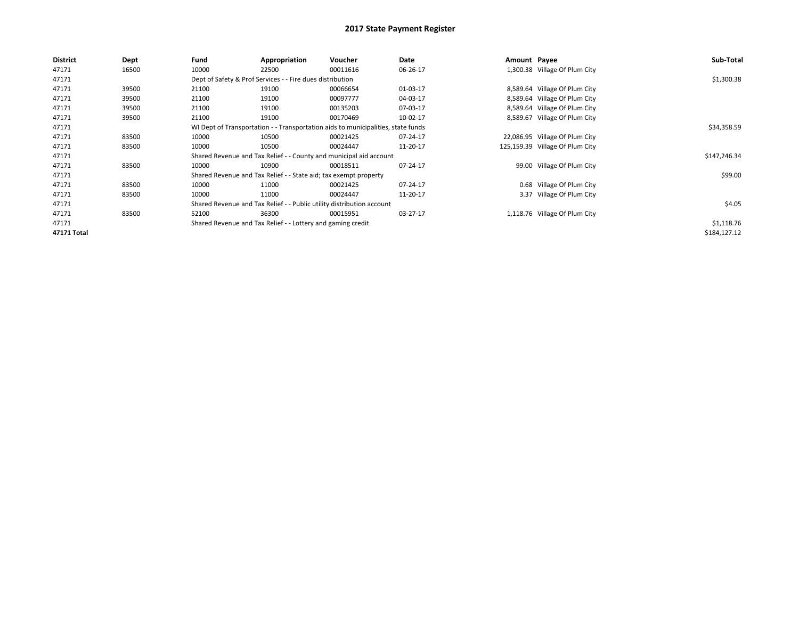| <b>District</b> | Dept  | Fund                                                        | Appropriation                                                                    | Voucher  | Date     | Amount Payee |                                 | Sub-Total    |  |  |
|-----------------|-------|-------------------------------------------------------------|----------------------------------------------------------------------------------|----------|----------|--------------|---------------------------------|--------------|--|--|
| 47171           | 16500 | 10000                                                       | 22500                                                                            | 00011616 | 06-26-17 |              | 1,300.38 Village Of Plum City   |              |  |  |
| 47171           |       |                                                             | Dept of Safety & Prof Services - - Fire dues distribution                        |          |          |              |                                 |              |  |  |
| 47171           | 39500 | 21100                                                       | 19100                                                                            | 00066654 | 01-03-17 |              | 8,589.64 Village Of Plum City   |              |  |  |
| 47171           | 39500 | 21100                                                       | 19100                                                                            | 00097777 | 04-03-17 |              | 8,589.64 Village Of Plum City   |              |  |  |
| 47171           | 39500 | 21100                                                       | 19100                                                                            | 00135203 | 07-03-17 |              | 8,589.64 Village Of Plum City   |              |  |  |
| 47171           | 39500 | 21100                                                       | 19100                                                                            | 00170469 | 10-02-17 |              | 8,589.67 Village Of Plum City   |              |  |  |
| 47171           |       |                                                             | WI Dept of Transportation - - Transportation aids to municipalities, state funds |          |          |              |                                 | \$34,358.59  |  |  |
| 47171           | 83500 | 10000                                                       | 10500                                                                            | 00021425 | 07-24-17 |              | 22,086.95 Village Of Plum City  |              |  |  |
| 47171           | 83500 | 10000                                                       | 10500                                                                            | 00024447 | 11-20-17 |              | 125,159.39 Village Of Plum City |              |  |  |
| 47171           |       |                                                             | Shared Revenue and Tax Relief - - County and municipal aid account               |          |          |              |                                 | \$147,246.34 |  |  |
| 47171           | 83500 | 10000                                                       | 10900                                                                            | 00018511 | 07-24-17 |              | 99.00 Village Of Plum City      |              |  |  |
| 47171           |       |                                                             | Shared Revenue and Tax Relief - - State aid; tax exempt property                 |          |          |              |                                 | \$99.00      |  |  |
| 47171           | 83500 | 10000                                                       | 11000                                                                            | 00021425 | 07-24-17 |              | 0.68 Village Of Plum City       |              |  |  |
| 47171           | 83500 | 10000                                                       | 11000                                                                            | 00024447 | 11-20-17 |              | 3.37 Village Of Plum City       |              |  |  |
| 47171           |       |                                                             |                                                                                  | \$4.05   |          |              |                                 |              |  |  |
| 47171           | 83500 | 52100                                                       | 36300                                                                            | 00015951 | 03-27-17 |              | 1,118.76 Village Of Plum City   |              |  |  |
| 47171           |       | Shared Revenue and Tax Relief - - Lottery and gaming credit |                                                                                  |          |          |              |                                 |              |  |  |
| 47171 Total     |       |                                                             |                                                                                  |          |          |              |                                 | \$184,127.12 |  |  |
|                 |       |                                                             | Shared Revenue and Tax Relief - - Public utility distribution account            |          |          |              |                                 | \$1,118.76   |  |  |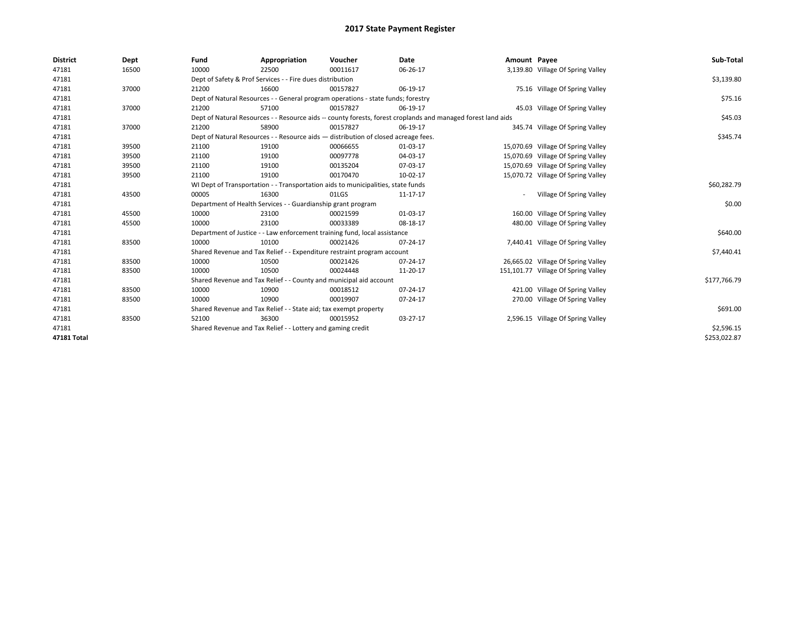| <b>District</b> | Dept  | Fund                                                                                                         | Appropriation                                                                      | Voucher     | Date       | Amount Payee |                                     | Sub-Total    |
|-----------------|-------|--------------------------------------------------------------------------------------------------------------|------------------------------------------------------------------------------------|-------------|------------|--------------|-------------------------------------|--------------|
| 47181           | 16500 | 10000                                                                                                        | 22500                                                                              | 00011617    | 06-26-17   |              | 3,139.80 Village Of Spring Valley   |              |
| 47181           |       | Dept of Safety & Prof Services - - Fire dues distribution                                                    |                                                                                    | \$3,139.80  |            |              |                                     |              |
| 47181           | 37000 | 21200                                                                                                        | 16600                                                                              | 00157827    | 06-19-17   |              | 75.16 Village Of Spring Valley      |              |
| 47181           |       |                                                                                                              | Dept of Natural Resources - - General program operations - state funds; forestry   |             |            |              |                                     | \$75.16      |
| 47181           | 37000 | 21200                                                                                                        | 57100                                                                              | 00157827    | 06-19-17   |              | 45.03 Village Of Spring Valley      |              |
| 47181           |       | Dept of Natural Resources - - Resource aids -- county forests, forest croplands and managed forest land aids |                                                                                    | \$45.03     |            |              |                                     |              |
| 47181           | 37000 | 21200                                                                                                        | 58900                                                                              | 00157827    | 06-19-17   |              | 345.74 Village Of Spring Valley     |              |
| 47181           |       |                                                                                                              | Dept of Natural Resources - - Resource aids - distribution of closed acreage fees. |             |            |              |                                     | \$345.74     |
| 47181           | 39500 | 21100                                                                                                        | 19100                                                                              | 00066655    | 01-03-17   |              | 15,070.69 Village Of Spring Valley  |              |
| 47181           | 39500 | 21100                                                                                                        | 19100                                                                              | 00097778    | 04-03-17   |              | 15,070.69 Village Of Spring Valley  |              |
| 47181           | 39500 | 21100                                                                                                        | 19100                                                                              | 00135204    | 07-03-17   |              | 15,070.69 Village Of Spring Valley  |              |
| 47181           | 39500 | 21100                                                                                                        | 19100                                                                              | 00170470    | 10-02-17   |              | 15,070.72 Village Of Spring Valley  |              |
| 47181           |       | WI Dept of Transportation - - Transportation aids to municipalities, state funds                             |                                                                                    | \$60,282.79 |            |              |                                     |              |
| 47181           | 43500 | 00005                                                                                                        | 16300                                                                              | 01LGS       | 11-17-17   |              | Village Of Spring Valley            |              |
| 47181           |       |                                                                                                              | Department of Health Services - - Guardianship grant program                       |             |            |              |                                     | \$0.00       |
| 47181           | 45500 | 10000                                                                                                        | 23100                                                                              | 00021599    | 01-03-17   |              | 160.00 Village Of Spring Valley     |              |
| 47181           | 45500 | 10000                                                                                                        | 23100                                                                              | 00033389    | 08-18-17   |              | 480.00 Village Of Spring Valley     |              |
| 47181           |       |                                                                                                              | Department of Justice - - Law enforcement training fund, local assistance          |             |            |              |                                     | \$640.00     |
| 47181           | 83500 | 10000                                                                                                        | 10100                                                                              | 00021426    | 07-24-17   |              | 7,440.41 Village Of Spring Valley   |              |
| 47181           |       |                                                                                                              | Shared Revenue and Tax Relief - - Expenditure restraint program account            |             |            |              |                                     | \$7,440.41   |
| 47181           | 83500 | 10000                                                                                                        | 10500                                                                              | 00021426    | 07-24-17   |              | 26,665.02 Village Of Spring Valley  |              |
| 47181           | 83500 | 10000                                                                                                        | 10500                                                                              | 00024448    | 11-20-17   |              | 151,101.77 Village Of Spring Valley |              |
| 47181           |       |                                                                                                              | Shared Revenue and Tax Relief - - County and municipal aid account                 |             |            |              |                                     | \$177,766.79 |
| 47181           | 83500 | 10000                                                                                                        | 10900                                                                              | 00018512    | 07-24-17   |              | 421.00 Village Of Spring Valley     |              |
| 47181           | 83500 | 10000                                                                                                        | 10900                                                                              | 00019907    | 07-24-17   |              | 270.00 Village Of Spring Valley     |              |
| 47181           |       |                                                                                                              | Shared Revenue and Tax Relief - - State aid; tax exempt property                   |             |            |              |                                     | \$691.00     |
| 47181           | 83500 | 52100                                                                                                        | 36300                                                                              | 00015952    | $03-27-17$ |              | 2,596.15 Village Of Spring Valley   |              |
| 47181           |       |                                                                                                              | Shared Revenue and Tax Relief - - Lottery and gaming credit                        |             |            |              |                                     | \$2,596.15   |
| 47181 Total     |       |                                                                                                              |                                                                                    |             |            |              |                                     | \$253,022.87 |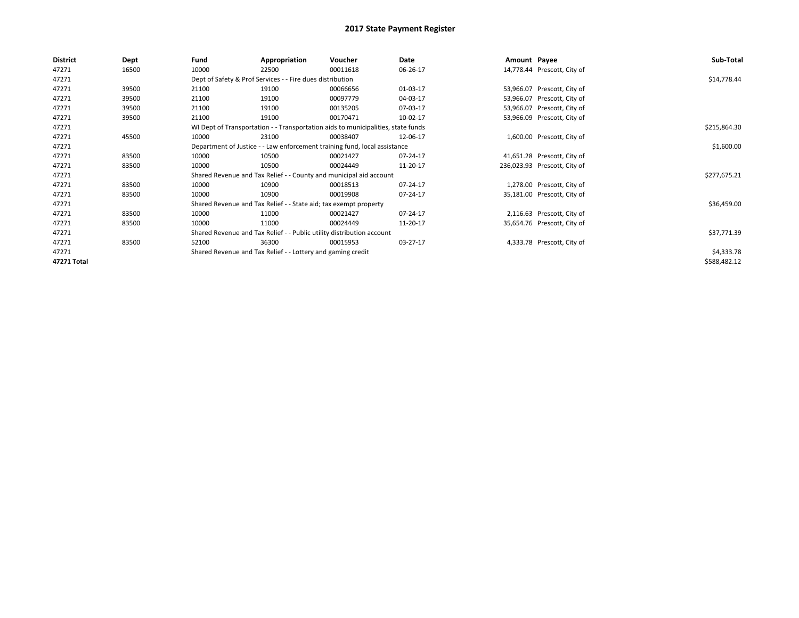| <b>District</b> | Dept  | Fund                                                                  | Appropriation                                                                    | Voucher     | Date     | Amount Payee |                              | Sub-Total    |  |  |
|-----------------|-------|-----------------------------------------------------------------------|----------------------------------------------------------------------------------|-------------|----------|--------------|------------------------------|--------------|--|--|
| 47271           | 16500 | 10000                                                                 | 22500                                                                            | 00011618    | 06-26-17 |              | 14,778.44 Prescott, City of  |              |  |  |
| 47271           |       |                                                                       | Dept of Safety & Prof Services - - Fire dues distribution                        |             |          |              |                              |              |  |  |
| 47271           | 39500 | 21100                                                                 | 19100                                                                            | 00066656    | 01-03-17 |              | 53,966.07 Prescott, City of  |              |  |  |
| 47271           | 39500 | 21100                                                                 | 19100                                                                            | 00097779    | 04-03-17 |              | 53,966.07 Prescott, City of  |              |  |  |
| 47271           | 39500 | 21100                                                                 | 19100                                                                            | 00135205    | 07-03-17 |              | 53,966.07 Prescott, City of  |              |  |  |
| 47271           | 39500 | 21100                                                                 | 19100                                                                            | 00170471    | 10-02-17 |              | 53,966.09 Prescott, City of  |              |  |  |
| 47271           |       |                                                                       | WI Dept of Transportation - - Transportation aids to municipalities, state funds |             |          |              |                              | \$215,864.30 |  |  |
| 47271           | 45500 | 10000                                                                 | 23100                                                                            | 00038407    | 12-06-17 |              | 1,600.00 Prescott, City of   |              |  |  |
| 47271           |       |                                                                       | Department of Justice - - Law enforcement training fund, local assistance        |             |          |              |                              | \$1,600.00   |  |  |
| 47271           | 83500 | 10000                                                                 | 10500                                                                            | 00021427    | 07-24-17 |              | 41,651.28 Prescott, City of  |              |  |  |
| 47271           | 83500 | 10000                                                                 | 10500                                                                            | 00024449    | 11-20-17 |              | 236,023.93 Prescott, City of |              |  |  |
| 47271           |       |                                                                       | Shared Revenue and Tax Relief - - County and municipal aid account               |             |          |              |                              | \$277,675.21 |  |  |
| 47271           | 83500 | 10000                                                                 | 10900                                                                            | 00018513    | 07-24-17 |              | 1,278.00 Prescott, City of   |              |  |  |
| 47271           | 83500 | 10000                                                                 | 10900                                                                            | 00019908    | 07-24-17 |              | 35,181.00 Prescott, City of  |              |  |  |
| 47271           |       |                                                                       | Shared Revenue and Tax Relief - - State aid; tax exempt property                 |             |          |              |                              | \$36,459.00  |  |  |
| 47271           | 83500 | 10000                                                                 | 11000                                                                            | 00021427    | 07-24-17 |              | 2,116.63 Prescott, City of   |              |  |  |
| 47271           | 83500 | 10000                                                                 | 11000                                                                            | 00024449    | 11-20-17 |              | 35,654.76 Prescott, City of  |              |  |  |
| 47271           |       | Shared Revenue and Tax Relief - - Public utility distribution account |                                                                                  | \$37,771.39 |          |              |                              |              |  |  |
| 47271           | 83500 | 52100                                                                 | 36300                                                                            | 00015953    | 03-27-17 |              | 4,333.78 Prescott, City of   |              |  |  |
| 47271           |       |                                                                       | Shared Revenue and Tax Relief - - Lottery and gaming credit                      |             |          |              |                              | \$4,333.78   |  |  |
| 47271 Total     |       |                                                                       |                                                                                  |             |          |              |                              | \$588,482.12 |  |  |